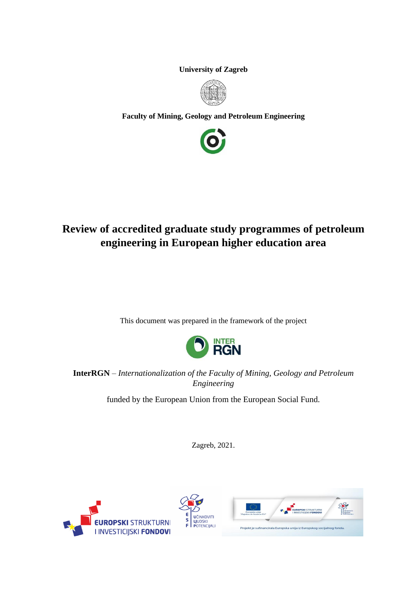**University of Zagreb**



**Faculty of Mining, Geology and Petroleum Engineering**



# **Review of accredited graduate study programmes of petroleum engineering in European higher education area**

This document was prepared in the framework of the project



**InterRGN** – *Internationalization of the Faculty of Mining, Geology and Petroleum Engineering*

funded by the European Union from the European Social Fund.

Zagreb, 2021.



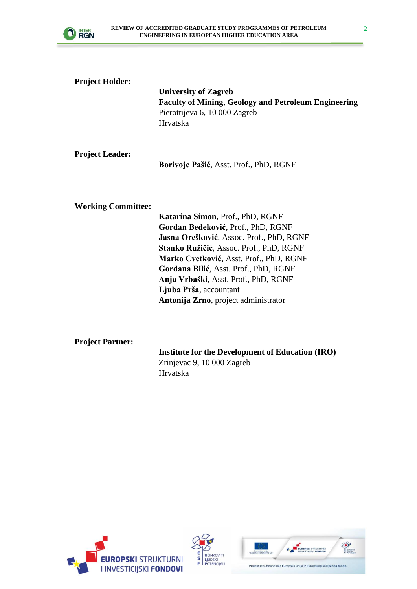

| <b>Project Holder:</b>    | <b>University of Zagreb</b><br><b>Faculty of Mining, Geology and Petroleum Engineering</b><br>Pierottijeva 6, 10 000 Zagreb<br>Hrvatska                                                                                                                                                                                                                     |
|---------------------------|-------------------------------------------------------------------------------------------------------------------------------------------------------------------------------------------------------------------------------------------------------------------------------------------------------------------------------------------------------------|
| <b>Project Leader:</b>    | Borivoje Pašić, Asst. Prof., PhD, RGNF                                                                                                                                                                                                                                                                                                                      |
| <b>Working Committee:</b> | Katarina Simon, Prof., PhD, RGNF<br>Gordan Bedeković, Prof., PhD, RGNF<br>Jasna Orešković, Assoc. Prof., PhD, RGNF<br>Stanko Ružičić, Assoc. Prof., PhD, RGNF<br>Marko Cvetković, Asst. Prof., PhD, RGNF<br>Gordana Bilić, Asst. Prof., PhD, RGNF<br>Anja Vrbaški, Asst. Prof., PhD, RGNF<br>Ljuba Prša, accountant<br>Antonija Zrno, project administrator |

**Project Partner:**

**Institute for the Development of Education (IRO)** Zrinjevac 9, 10 000 Zagreb Hrvatska





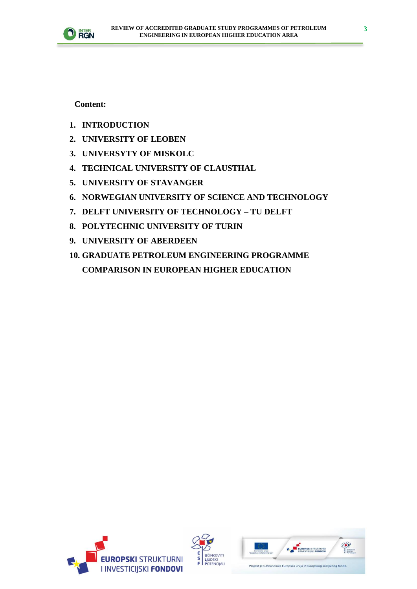

**Content:**

- **1. INTRODUCTION**
- **2. UNIVERSITY OF LEOBEN**
- **3. UNIVERSYTY OF MISKOLC**
- **4. TECHNICAL UNIVERSITY OF CLAUSTHAL**
- **5. UNIVERSITY OF STAVANGER**
- **6. NORWEGIAN UNIVERSITY OF SCIENCE AND TECHNOLOGY**
- **7. DELFT UNIVERSITY OF TECHNOLOGY – TU DELFT**
- **8. POLYTECHNIC UNIVERSITY OF TURIN**
- **9. UNIVERSITY OF ABERDEEN**
- **10. GRADUATE PETROLEUM ENGINEERING PROGRAMME COMPARISON IN EUROPEAN HIGHER EDUCATION**





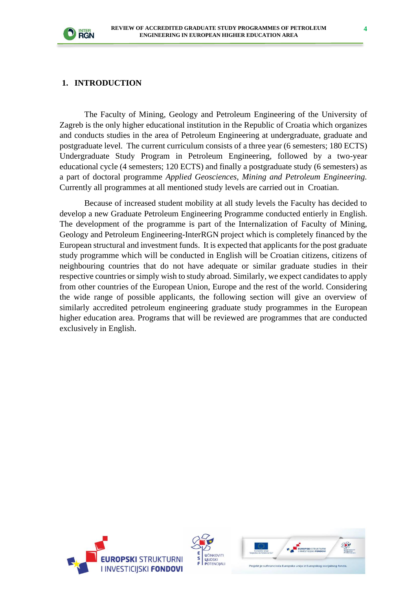

#### **1. INTRODUCTION**

The Faculty of Mining, Geology and Petroleum Engineering of the University of Zagreb is the only higher educational institution in the Republic of Croatia which organizes and conducts studies in the area of Petroleum Engineering at undergraduate, graduate and postgraduate level. The current curriculum consists of a three year (6 semesters; 180 ECTS) Undergraduate Study Program in Petroleum Engineering, followed by a two-year educational cycle (4 semesters; 120 ECTS) and finally a postgraduate study (6 semesters) as a part of doctoral programme *Applied Geosciences, Mining and Petroleum Engineering.*  Currently all programmes at all mentioned study levels are carried out in Croatian.

Because of increased student mobility at all study levels the Faculty has decided to develop a new Graduate Petroleum Engineering Programme conducted entierly in English. The development of the programme is part of the Internalization of Faculty of Mining, Geology and Petroleum Engineering-InterRGN project which is completely financed by the European structural and investment funds. It is expected that applicants for the post graduate study programme which will be conducted in English will be Croatian citizens, citizens of neighbouring countries that do not have adequate or similar graduate studies in their respective countries or simply wish to study abroad. Similarly, we expect candidates to apply from other countries of the European Union, Europe and the rest of the world. Considering the wide range of possible applicants, the following section will give an overview of similarly accredited petroleum engineering graduate study programmes in the European higher education area. Programs that will be reviewed are programmes that are conducted exclusively in English.





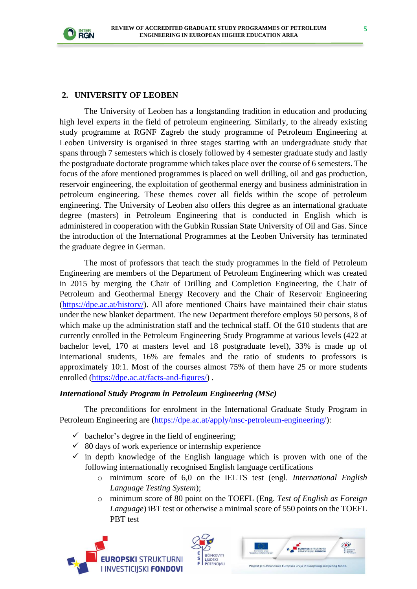

#### **2. UNIVERSITY OF LEOBEN**

The University of Leoben has a longstanding tradition in education and producing high level experts in the field of petroleum engineering. Similarly, to the already existing study programme at RGNF Zagreb the study programme of Petroleum Engineering at Leoben University is organised in three stages starting with an undergraduate study that spans through 7 semesters which is closely followed by 4 semester graduate study and lastly the postgraduate doctorate programme which takes place over the course of 6 semesters. The focus of the afore mentioned programmes is placed on well drilling, oil and gas production, reservoir engineering, the exploitation of geothermal energy and business administration in petroleum engineering. These themes cover all fields within the scope of petroleum engineering. The University of Leoben also offers this degree as an international graduate degree (masters) in Petroleum Engineering that is conducted in English which is administered in cooperation with the Gubkin Russian State University of Oil and Gas. Since the introduction of the International Programmes at the Leoben University has terminated the graduate degree in German.

The most of professors that teach the study programmes in the field of Petroleum Engineering are members of the Department of Petroleum Engineering which was created in 2015 by merging the Chair of Drilling and Completion Engineering, the Chair of Petroleum and Geothermal Energy Recovery and the Chair of Reservoir Engineering [\(https://dpe.ac.at/history/\)](https://dpe.ac.at/history/). All afore mentioned Chairs have maintained their chair status under the new blanket department. The new Department therefore employs 50 persons, 8 of which make up the administration staff and the technical staff. Of the 610 students that are currently enrolled in the Petroleum Engineering Study Programme at various levels (422 at bachelor level, 170 at masters level and 18 postgraduate level), 33% is made up of international students, 16% are females and the ratio of students to professors is approximately 10:1. Most of the courses almost 75% of them have 25 or more students enrolled [\(https://dpe.ac.at/facts-and-figures/\)](https://dpe.ac.at/facts-and-figures/).

#### *International Study Program in Petroleum Engineering (MSc)*

The preconditions for enrolment in the International Graduate Study Program in Petroleum Engineering are [\(https://dpe.ac.at/apply/msc-petroleum-engineering/\)](https://dpe.ac.at/apply/msc-petroleum-engineering/):

- $\checkmark$  bachelor's degree in the field of engineering;
- $\checkmark$  80 days of work experience or internship experience
- $\checkmark$  in depth knowledge of the English language which is proven with one of the following internationally recognised English language certifications
	- o minimum score of 6,0 on the IELTS test (engl. *International English Language Testing System*);
	- o minimum score of 80 point on the TOEFL (Eng. *Test of English as Foreign Language*) iBT test or otherwise a minimal score of 550 points on the TOEFL PBT test





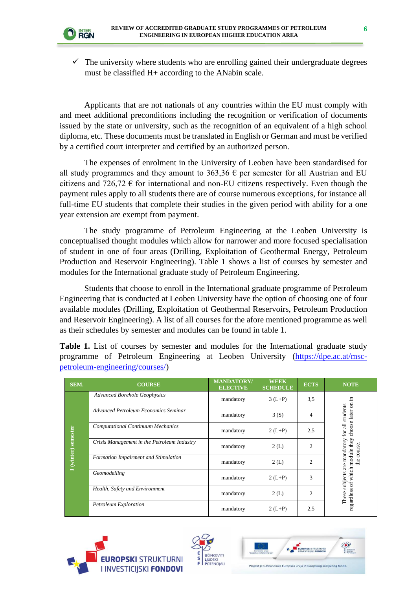

 $\checkmark$  The university where students who are enrolling gained their undergraduate degrees must be classified H+ according to the ANabin scale.

Applicants that are not nationals of any countries within the EU must comply with and meet additional preconditions including the recognition or verification of documents issued by the state or university, such as the recognition of an equivalent of a high school diploma, etc. These documents must be translated in English or German and must be verified by a certified court interpreter and certified by an authorized person.

The expenses of enrolment in the University of Leoben have been standardised for all study programmes and they amount to 363,36  $\epsilon$  per semester for all Austrian and EU citizens and 726,72  $\epsilon$  for international and non-EU citizens respectively. Even though the payment rules apply to all students there are of course numerous exceptions, for instance all full-time EU students that complete their studies in the given period with ability for a one year extension are exempt from payment.

The study programme of Petroleum Engineering at the Leoben University is conceptualised thought modules which allow for narrower and more focused specialisation of student in one of four areas (Drilling, Exploitation of Geothermal Energy, Petroleum Production and Reservoir Engineering). Table 1 shows a list of courses by semester and modules for the International graduate study of Petroleum Engineering.

Students that choose to enroll in the International graduate programme of Petroleum Engineering that is conducted at Leoben University have the option of choosing one of four available modules (Drilling, Exploitation of Geothermal Reservoirs, Petroleum Production and Reservoir Engineering). A list of all courses for the afore mentioned programme as well as their schedules by semester and modules can be found in table 1.

**Table 1.** List of courses by semester and modules for the International graduate study programme of Petroleum Engineering at Leoben University [\(https://dpe.ac.at/msc](https://dpe.ac.at/msc-petroleum-engineering/courses/)[petroleum-engineering/courses/\)](https://dpe.ac.at/msc-petroleum-engineering/courses/)

| SEM.                | <b>COURSE</b>                               | <b>MANDATORY/</b><br><b>ELECTIVE</b> | <b>WEEK</b><br><b>SCHEDULE</b> | <b>ECTS</b>    | <b>NOTE</b>                        |
|---------------------|---------------------------------------------|--------------------------------------|--------------------------------|----------------|------------------------------------|
|                     | <b>Advanced Borehole Geophysics</b>         | mandatory                            | $3(L+P)$                       | 3,5            | 급.<br>$\overline{\mathrm{s}}$      |
|                     | Advanced Petroleum Economics Seminar        | mandatory                            | 3(S)                           | 4              | students                           |
|                     | <b>Computational Continuum Mechanics</b>    | mandatory                            | $2(L+P)$                       | 2.5            | choose later<br>for all            |
| I (winter) semester | Crisis Management in the Petroleum Industry | mandatory                            | 2(L)                           | $\overline{c}$ | are mandatory<br>which module they |
|                     | Formation Impairment and Stimulation        | mandatory                            | 2(L)                           | $\overline{c}$ | the course                         |
|                     | Geomodelling                                | mandatory                            | $2(L+P)$                       | 3              | subjects<br>$\sigma$               |
|                     | Health, Safety and Environment              | mandatory                            | 2(L)                           | $\overline{c}$ | $\infty$<br>regardles<br>These     |
|                     | Petroleum Exploration                       | mandatory                            | $2(L+P)$                       | 2,5            |                                    |





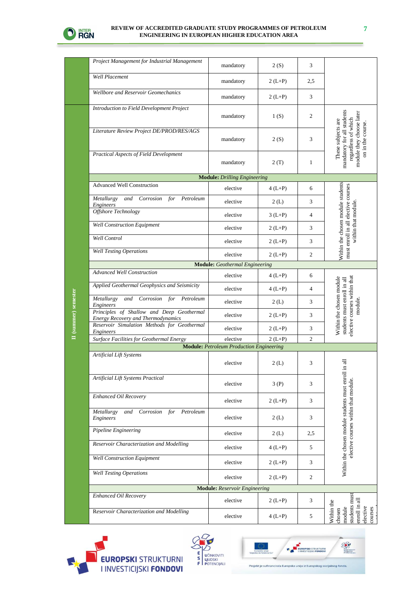

**II (summer) semester**

II (summer) semester

#### **REVIEW OF ACCREDITED GRADUATE STUDY PROGRAMMES OF PETROLEUM ENGINEERING IN EUROPEAN HIGHER EDUCATION AREA**

| Project Management for Industrial Management                                           | mandatory                                       | 2(S)     | 3              |                                                                                                                          |
|----------------------------------------------------------------------------------------|-------------------------------------------------|----------|----------------|--------------------------------------------------------------------------------------------------------------------------|
| <b>Well Placement</b>                                                                  | mandatory                                       | $2(L+P)$ | 2,5            |                                                                                                                          |
| Wellbore and Reservoir Geomechanics                                                    | mandatory                                       | $2(L+P)$ | 3              |                                                                                                                          |
| Introduction to Field Development Project                                              | mandatory                                       | 1(S)     | $\overline{c}$ |                                                                                                                          |
| Literature Review Project DE/PROD/RES/AGS                                              | mandatory                                       | 2(S)     | 3              | mandatory for all students<br>module they choose later<br>regardless of which<br>These subjects are<br>on in the course. |
| Practical Aspects of Field Development                                                 | mandatory                                       | 2 (T)    | 1              |                                                                                                                          |
|                                                                                        | <b>Module:</b> Drilling Engineering             |          |                |                                                                                                                          |
| <b>Advanced Well Construction</b>                                                      | elective                                        | $4(L+P)$ | 6              |                                                                                                                          |
| Metallurgy<br>and Corrosion for<br>Petroleum<br>Engineers                              | elective                                        | 2(L)     | 3              | Within the chosen module students<br>must enroll in all elective courses                                                 |
| Offshore Technology                                                                    | elective                                        | $3(L+P)$ | 4              | within that module                                                                                                       |
| Well Construction Equipment                                                            | elective                                        | $2(L+P)$ | 3              |                                                                                                                          |
| Well Control                                                                           | elective                                        | $2(L+P)$ | 3              |                                                                                                                          |
| <b>Well Testing Operations</b>                                                         | elective                                        | $2(L+P)$ | $\overline{c}$ |                                                                                                                          |
|                                                                                        | <b>Module:</b> Geothermal Engineering           |          |                |                                                                                                                          |
| <b>Advanced Well Construction</b>                                                      | elective                                        | $4(L+P)$ | 6              |                                                                                                                          |
| Applied Geothermal Geophysics and Seismicity                                           | elective                                        | $4(L+P)$ | 4              | elective courses within that<br>Within the chosen module<br>students must enroll in all                                  |
| and Corrosion for Petroleum<br>Metallurgy<br>Engineers                                 | elective                                        | 2(L)     | 3              | module.                                                                                                                  |
| Principles of Shallow and Deep Geothermal<br><b>Energy Recovery and Thermodynamics</b> | elective                                        | $2(L+P)$ | 3              |                                                                                                                          |
| Reservoir Simulation Methods for Geothermal<br>Engineers                               | elective                                        | $2(L+P)$ | 3              |                                                                                                                          |
| Surface Facilities for Geothermal Energy                                               | elective                                        | $2(L+P)$ | $\mathfrak{2}$ |                                                                                                                          |
|                                                                                        | <b>Module:</b> Petroleum Production Engineering |          |                |                                                                                                                          |
| Artificial Lift Systems                                                                | elective                                        | 2(L)     | 3              | 둬                                                                                                                        |
| Artificial Lift Systems Practical                                                      | elective                                        | 3 (P)    | 3              |                                                                                                                          |
| Enhanced Oil Recovery                                                                  | elective                                        | $2(L+P)$ | 3              |                                                                                                                          |
| Metallurgy<br>and<br>Corrosion for Petroleum<br><b>Engineers</b>                       | elective                                        | 2(L)     | 3              | Within the chosen module students must enroll in<br>elective courses within that module.                                 |
| Pipeline Engineering                                                                   | elective                                        | 2(L)     | 2,5            |                                                                                                                          |
| Reservoir Characterization and Modelling                                               | elective                                        | $4(L+P)$ | 5              |                                                                                                                          |
| <b>Well Construction Equipment</b>                                                     | elective                                        | $2(L+P)$ | 3              |                                                                                                                          |
| <b>Well Testing Operations</b>                                                         | elective                                        | $2(L+P)$ | $\overline{c}$ |                                                                                                                          |
|                                                                                        | <b>Module:</b> Reservoir Engineering            |          |                |                                                                                                                          |
| Enhanced Oil Recovery                                                                  | elective                                        | $2(L+P)$ | 3              |                                                                                                                          |
| Reservoir Characterization and Modelling                                               | elective                                        | $4(L+P)$ | 5              | students must<br>enroll in all<br>Within the<br>module<br>elective<br>courses<br>chosen                                  |





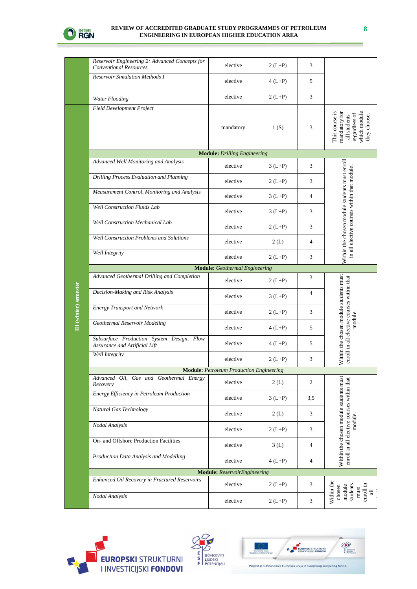

**III (winter) semester**

III (winter) semester

#### **REVIEW OF ACCREDITED GRADUATE STUDY PROGRAMMES OF PETROLEUM ENGINEERING IN EUROPEAN HIGHER EDUCATION AREA**

| Reservoir Engineering 2: Advanced Concepts for<br><b>Conventional Resources</b> | elective                                        | $2(L+P)$ | 3              |                                                                                                  |
|---------------------------------------------------------------------------------|-------------------------------------------------|----------|----------------|--------------------------------------------------------------------------------------------------|
| <b>Reservoir Simulation Methods I</b>                                           | elective                                        | $4(L+P)$ | 5              |                                                                                                  |
| Water Flooding                                                                  | elective                                        | $2(L+P)$ | 3              |                                                                                                  |
| Field Development Project                                                       | mandatory                                       | 1(S)     | 3              | which module<br>This course is<br>mandatory for<br>regardless of<br>all students<br>they choose. |
|                                                                                 | <b>Module:</b> Drilling Engineering             |          |                |                                                                                                  |
| Advanced Well Monitoring and Analysis                                           | elective                                        | $3(L+P)$ | 3              |                                                                                                  |
| Drilling Process Evaluation and Planning                                        | elective                                        | $2(L+P)$ | 3              |                                                                                                  |
| Measurement Control, Monitoring and Analysis                                    | elective                                        | $3(L+P)$ | 4              |                                                                                                  |
| <b>Well Construction Fluids Lab</b>                                             | elective                                        | $3(L+P)$ | 3              |                                                                                                  |
| <b>Well Construction Mechanical Lab</b>                                         | elective                                        | $2(L+P)$ | 3              |                                                                                                  |
| <b>Well Construction Problems and Solutions</b>                                 | elective                                        | 2(L)     | 4              | Within the chosen module students must enroll<br>in all elective courses within that module.     |
| Well Integrity                                                                  | elective                                        | $2(L+P)$ | 3              |                                                                                                  |
|                                                                                 | <b>Module:</b> Geothermal Engineering           |          |                |                                                                                                  |
| Advanced Geothermal Drilling and Completion                                     | elective                                        | $2(L+P)$ | 3              |                                                                                                  |
| Decision-Making and Risk Analysis                                               | elective                                        | $3(L+P)$ | $\overline{4}$ |                                                                                                  |
| <b>Energy Transport and Network</b>                                             | elective                                        | $2(L+P)$ | 3              |                                                                                                  |
| Geothermal Reservoir Modeling                                                   | elective                                        | $4(L+P)$ | 5              | module.                                                                                          |
| Subsurface Production System Design, Flow<br>Assurance and Artificial Lift      | elective                                        | $4(L+P)$ | 5              | Within the chosen module students must<br>enroll in all elective courses within that             |
| Well Integrity                                                                  | elective                                        | $2(L+P)$ | 3              |                                                                                                  |
|                                                                                 | <b>Module:</b> Petroleum Production Engineering |          |                |                                                                                                  |
| Advanced Oil, Gas and Geothermal Energy<br>Recovery                             | elective                                        | 2(L)     | 2              |                                                                                                  |
| Energy Efficiency in Petroleum Production                                       | elective                                        | $3(L+P)$ | 3,5            |                                                                                                  |
| Natural Gas Technology                                                          | elective                                        | 2(L)     | 3              |                                                                                                  |
| Nodal Analysis                                                                  | elective                                        | $2(L+P)$ | 3              | module.                                                                                          |
| On- and Offshore Production Facilities                                          | elective                                        | 3(L)     | 4              | Within the chosen module students must<br>enroll in all elective courses within that             |
| Production Data Analysis and Modelling                                          | elective                                        | $4(L+P)$ | 4              |                                                                                                  |
|                                                                                 | <b>Module:</b> ReservoirEngineering             |          |                |                                                                                                  |
| Enhanced Oil Recovery in Fractured Reservoirs                                   | elective                                        | $2(L+P)$ | 3              | Within the<br>enroll in<br>students<br>module<br>chosen<br>must<br>$\equiv$                      |
| Nodal Analysis                                                                  | elective                                        | $2(L+P)$ | 3              |                                                                                                  |







**8**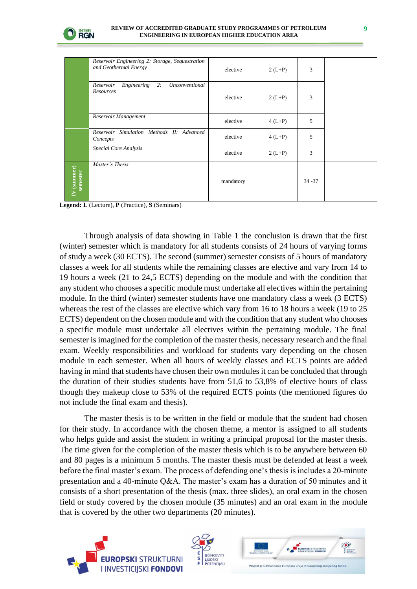

|                         | Reservoir Engineering 2: Storage, Sequestration<br>and Geothermal Energy | elective  | $2(L+P)$ | 3         |  |
|-------------------------|--------------------------------------------------------------------------|-----------|----------|-----------|--|
|                         | Engineering<br>Reservoir<br>2:<br>Unconventional<br>Resources            | elective  | $2(L+P)$ | 3         |  |
|                         | Reservoir Management                                                     | elective  | $4(L+P)$ | 5         |  |
|                         | Reservoir Simulation Methods II: Advanced<br>Concepts                    | elective  | $4(L+P)$ | 5         |  |
|                         | Special Core Analysis                                                    | elective  | $2(L+P)$ | 3         |  |
| IV (summer)<br>semester | Master's Thesis                                                          | mandatory |          | $34 - 37$ |  |

**Legend: L** (Lecture), **P** (Practice), **S** (Seminars)

Through analysis of data showing in Table 1 the conclusion is drawn that the first (winter) semester which is mandatory for all students consists of 24 hours of varying forms of study a week (30 ECTS). The second (summer) semester consists of 5 hours of mandatory classes a week for all students while the remaining classes are elective and vary from 14 to 19 hours a week (21 to 24,5 ECTS) depending on the module and with the condition that any student who chooses a specific module must undertake all electives within the pertaining module. In the third (winter) semester students have one mandatory class a week (3 ECTS) whereas the rest of the classes are elective which vary from 16 to 18 hours a week (19 to 25 ECTS) dependent on the chosen module and with the condition that any student who chooses a specific module must undertake all electives within the pertaining module. The final semester is imagined for the completion of the master thesis, necessary research and the final exam. Weekly responsibilities and workload for students vary depending on the chosen module in each semester. When all hours of weekly classes and ECTS points are added having in mind that students have chosen their own modules it can be concluded that through the duration of their studies students have from 51,6 to 53,8% of elective hours of class though they makeup close to 53% of the required ECTS points (the mentioned figures do not include the final exam and thesis).

The master thesis is to be written in the field or module that the student had chosen for their study. In accordance with the chosen theme, a mentor is assigned to all students who helps guide and assist the student in writing a principal proposal for the master thesis. The time given for the completion of the master thesis which is to be anywhere between 60 and 80 pages is a minimum 5 months. The master thesis must be defended at least a week before the final master's exam. The process of defending one's thesis is includes a 20-minute presentation and a 40-minute Q&A. The master's exam has a duration of 50 minutes and it consists of a short presentation of the thesis (max. three slides), an oral exam in the chosen field or study covered by the chosen module (35 minutes) and an oral exam in the module that is covered by the other two departments (20 minutes).





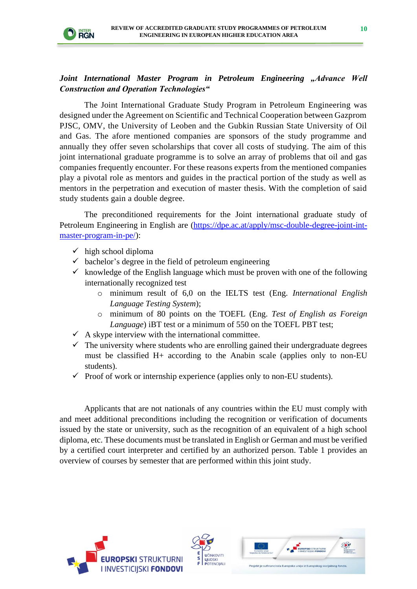

### *Joint International Master Program in Petroleum Engineering "Advance Well Construction and Operation Technologies"*

The Joint International Graduate Study Program in Petroleum Engineering was designed under the Agreement on Scientific and Technical Cooperation between Gazprom PJSC, OMV, the University of Leoben and the Gubkin Russian State University of Oil and Gas. The afore mentioned companies are sponsors of the study programme and annually they offer seven scholarships that cover all costs of studying. The aim of this joint international graduate programme is to solve an array of problems that oil and gas companies frequently encounter. For these reasons experts from the mentioned companies play a pivotal role as mentors and guides in the practical portion of the study as well as mentors in the perpetration and execution of master thesis. With the completion of said study students gain a double degree.

The preconditioned requirements for the Joint international graduate study of Petroleum Engineering in English are [\(https://dpe.ac.at/apply/msc-double-degree-joint-int](https://dpe.ac.at/apply/msc-double-degree-joint-int-master-program-in-pe/)[master-program-in-pe/\)](https://dpe.ac.at/apply/msc-double-degree-joint-int-master-program-in-pe/):

- $\checkmark$  high school diploma
- $\checkmark$  bachelor's degree in the field of petroleum engineering
- $\checkmark$  knowledge of the English language which must be proven with one of the following internationally recognized test
	- o minimum result of 6,0 on the IELTS test (Eng. *International English Language Testing System*);
	- o minimum of 80 points on the TOEFL (Eng. *Test of English as Foreign Language*) iBT test or a minimum of 550 on the TOEFL PBT test;
- $\checkmark$  A skype interview with the international committee.
- $\checkmark$  The university where students who are enrolling gained their undergraduate degrees must be classified H+ according to the Anabin scale (applies only to non-EU students).
- $\checkmark$  Proof of work or internship experience (applies only to non-EU students).

Applicants that are not nationals of any countries within the EU must comply with and meet additional preconditions including the recognition or verification of documents issued by the state or university, such as the recognition of an equivalent of a high school diploma, etc. These documents must be translated in English or German and must be verified by a certified court interpreter and certified by an authorized person. Table 1 provides an overview of courses by semester that are performed within this joint study.





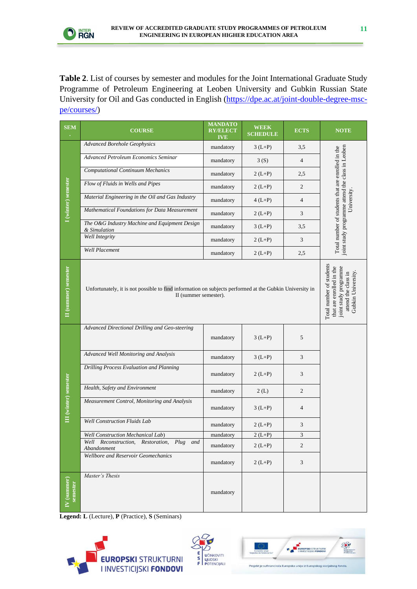

**Table 2**. List of courses by semester and modules for the Joint International Graduate Study Programme of Petroleum Engineering at Leoben University and Gubkin Russian State University for Oil and Gas conducted in English [\(https://dpe.ac.at/joint-double-degree-msc](https://dpe.ac.at/joint-double-degree-msc-pe/courses/)[pe/courses/\)](https://dpe.ac.at/joint-double-degree-msc-pe/courses/)

| <b>SEM</b>              | <b>COURSE</b>                                                                                                                    | <b>MANDATO</b><br><b>RY/ELECT</b><br><b>IVE</b> | <b>WEEK</b><br><b>SCHEDULE</b> | <b>ECTS</b>    | <b>NOTE</b>                                                                                           |
|-------------------------|----------------------------------------------------------------------------------------------------------------------------------|-------------------------------------------------|--------------------------------|----------------|-------------------------------------------------------------------------------------------------------|
|                         | <b>Advanced Borehole Geophysics</b>                                                                                              | mandatory                                       | $3(L+P)$                       | 3,5            |                                                                                                       |
|                         | Advanced Petroleum Economics Seminar                                                                                             | mandatory                                       | 3(S)                           | $\overline{4}$ |                                                                                                       |
| I (winter) semester     | <b>Computational Continuum Mechanics</b>                                                                                         | mandatory                                       | $2(L+P)$                       | 2,5            |                                                                                                       |
|                         | Flow of Fluids in Wells and Pipes                                                                                                | mandatory                                       | $2(L+P)$                       | $\overline{c}$ | Total number of students that are enrolled in the<br>joint study programme attend the class in Leoben |
|                         | Material Engineering in the Oil and Gas Industry                                                                                 | mandatory                                       | $4(L+P)$                       | $\overline{4}$ | University                                                                                            |
|                         | Mathematical Foundations for Data Measurement                                                                                    | mandatory                                       | $2(L+P)$                       | 3              |                                                                                                       |
|                         | The O&G Industry Machine and Equipment Design<br>& Simulation                                                                    | mandatory                                       | $3(L+P)$                       | 3,5            |                                                                                                       |
|                         | <b>Well Integrity</b>                                                                                                            | mandatory                                       | $2(L+P)$                       | 3              |                                                                                                       |
|                         | <b>Well Placement</b>                                                                                                            | mandatory                                       | $2(L+P)$                       | 2,5            |                                                                                                       |
| II (summer) semester    | Unfortunately, it is not possible to find information on subjects performed at the Gubkin University in<br>II (summer semester). |                                                 |                                |                |                                                                                                       |
|                         | Advanced Directional Drilling and Geo-steering                                                                                   |                                                 |                                |                |                                                                                                       |
|                         |                                                                                                                                  | mandatory                                       | $3(L+P)$                       | 5              |                                                                                                       |
|                         | Advanced Well Monitoring and Analysis                                                                                            | mandatory                                       | $3(L+P)$                       | 3              |                                                                                                       |
|                         | Drilling Process Evaluation and Planning                                                                                         | mandatory                                       | $2(L+P)$                       | 3              |                                                                                                       |
|                         | Health, Safety and Environment                                                                                                   | mandatory                                       | 2(L)                           | $\overline{2}$ |                                                                                                       |
| III (winter) semester   | Measurement Control, Monitoring and Analysis                                                                                     | mandatory                                       | $3(L+P)$                       | $\overline{4}$ |                                                                                                       |
|                         | <b>Well Construction Fluids Lab</b>                                                                                              | mandatory                                       | $2(L+P)$                       | 3              |                                                                                                       |
|                         | <b>Well Construction Mechanical Lab)</b>                                                                                         | mandatory                                       | $2(L+P)$                       | 3              |                                                                                                       |
|                         | Well Reconstruction, Restoration,<br>Plug and<br>Abandonment                                                                     | mandatory                                       | $2(L+P)$                       | $\overline{c}$ |                                                                                                       |
|                         | Wellbore and Reservoir Geomechanics                                                                                              | mandatory                                       | $2(L+P)$                       | 3              |                                                                                                       |
| IV (summer)<br>semester | Master's Thesis                                                                                                                  | mandatory                                       |                                |                |                                                                                                       |

**Legend: L** (Lecture), **P** (Practice), **S** (Seminars)





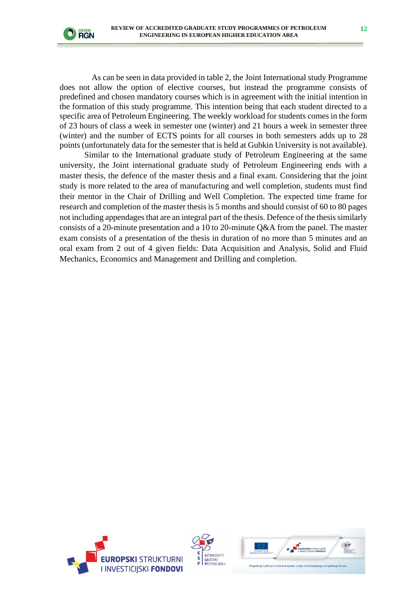

As can be seen in data provided in table 2, the Joint International study Programme does not allow the option of elective courses, but instead the programme consists of predefined and chosen mandatory courses which is in agreement with the initial intention in the formation of this study programme. This intention being that each student directed to a specific area of Petroleum Engineering. The weekly workload for students comes in the form of 23 hours of class a week in semester one (winter) and 21 hours a week in semester three (winter) and the number of ECTS points for all courses in both semesters adds up to 28 points (unfortunately data for the semester that is held at Gubkin University is not available).

Similar to the International graduate study of Petroleum Engineering at the same university, the Joint international graduate study of Petroleum Engineering ends with a master thesis, the defence of the master thesis and a final exam. Considering that the joint study is more related to the area of manufacturing and well completion, students must find their mentor in the Chair of Drilling and Well Completion. The expected time frame for research and completion of the master thesis is 5 months and should consist of 60 to 80 pages not including appendages that are an integral part of the thesis. Defence of the thesis similarly consists of a 20-minute presentation and a 10 to 20-minute Q&A from the panel. The master exam consists of a presentation of the thesis in duration of no more than 5 minutes and an oral exam from 2 out of 4 given fields: Data Acquisition and Analysis, Solid and Fluid Mechanics, Economics and Management and Drilling and completion.





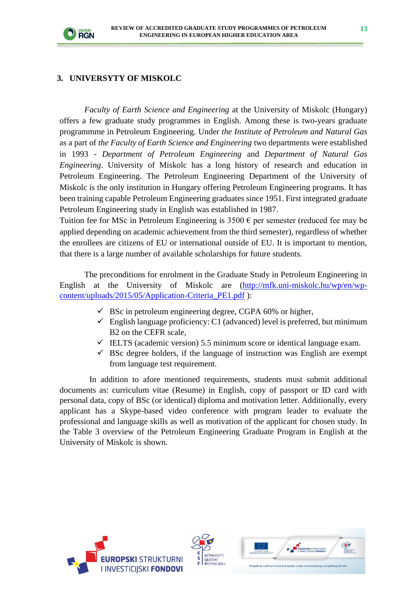

#### **3. UNIVERSYTY OF MISKOLC**

*Faculty of Earth Science and Engineering* at the University of Miskolc (Hungary) offers a few graduate study programmes in English. Among these is two-years graduate programmme in Petroleum Engineering. Under *the Institute of Petroleum and Natural Gas* as a part of *the Faculty of Earth Science and Engineering* two departments were established in 1993 - *Department of Petroleum Engineering* and *Department of Natural Gas Engineering*. University of Miskolc has a long history of research and education in Petroleum Engineering. The Petroleum Engineering Department of the University of Miskolc is the only institution in Hungary offering Petroleum Engineering programs. It has been training capable Petroleum Engineering graduates since 1951. First integrated graduate Petroleum Engineering study in English was established in 1987.

Tuition fee for MSc in Petroleum Engineering is  $3500 \text{ }\epsilon$  per semester (reduced fee may be applied depending on academic achievement from the third semester), regardless of whether the enrollees are citizens of EU or international outside of EU. It is important to mention, that there is a large number of available scholarships for future students.

The preconditions for enrolment in the Graduate Study in Petroleum Engineering in English at the University of Miskolc are [\(http://mfk.uni-miskolc.hu/wp/en/wp](http://mfk.uni-miskolc.hu/wp/en/wp-content/uploads/2015/05/Application-Criteria_PE1.pdf)[content/uploads/2015/05/Application-Criteria\\_PE1.pdf](http://mfk.uni-miskolc.hu/wp/en/wp-content/uploads/2015/05/Application-Criteria_PE1.pdf) ):

- $\checkmark$  BSc in petroleum engineering degree, CGPA 60% or higher,
- $\checkmark$  English language proficiency: C1 (advanced) level is preferred, but minimum B2 on the CEFR scale,
- $\checkmark$  IELTS (academic version) 5.5 minimum score or identical language exam.
- $\checkmark$  BSc degree holders, if the language of instruction was English are exempt from language test requirement.

In addition to afore mentioned requirements, students must submit additional documents as: curriculum vitae (Resume) in English, copy of passport or ID card with personal data, copy of BSc (or identical) diploma and motivation letter. Additionally, every applicant has a Skype-based video conference with program leader to evaluate the professional and language skills as well as motivation of the applicant for chosen study. In the Table 3 overview of the Petroleum Engineering Graduate Program in English at the University of Miskolc is shown.





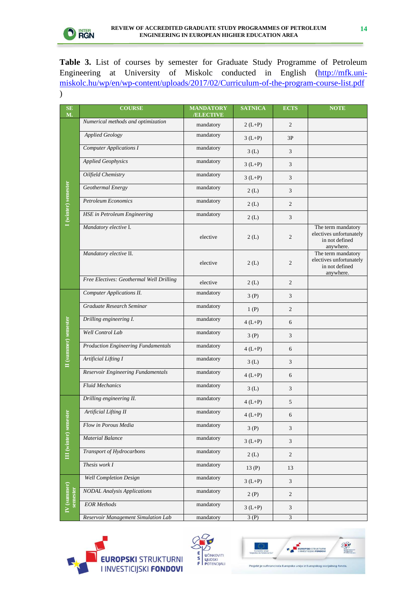

**Table 3.** List of courses by semester for Graduate Study Programme of Petroleum Engineering at University of Miskolc conducted in English [\(http://mfk.uni](http://mfk.uni-miskolc.hu/wp/en/wp-content/uploads/2017/02/Curriculum-of-the-program-course-list.pdf)[miskolc.hu/wp/en/wp-content/uploads/2017/02/Curriculum-of-the-program-course-list.pdf](http://mfk.uni-miskolc.hu/wp/en/wp-content/uploads/2017/02/Curriculum-of-the-program-course-list.pdf) )

| SE<br>M.                | <b>COURSE</b>                              | <b>MANDATORY</b><br>/ELECTIVE | <b>SATNICA</b> | <b>ECTS</b>    | <b>NOTE</b>                                                                  |
|-------------------------|--------------------------------------------|-------------------------------|----------------|----------------|------------------------------------------------------------------------------|
|                         | Numerical methods and optimization         | mandatory                     | $2(L+P)$       | $\overline{c}$ |                                                                              |
|                         | <b>Applied Geology</b>                     | mandatory                     | $3(L+P)$       | 3P             |                                                                              |
|                         | <b>Computer Applications I</b>             | mandatory                     | 3(L)           | 3              |                                                                              |
|                         | <b>Applied Geophysics</b>                  | mandatory                     | $3(L+P)$       | 3              |                                                                              |
|                         | Oilfield Chemistry                         | mandatory                     | $3(L+P)$       | $\mathfrak{Z}$ |                                                                              |
|                         | Geothermal Energy                          | mandatory                     | 2(L)           | 3              |                                                                              |
| I (winter) semester     | <b>Petroleum Economics</b>                 | mandatory                     | 2(L)           | $\overline{c}$ |                                                                              |
|                         | <b>HSE</b> in Petroleum Engineering        | mandatory                     | 2(L)           | 3              |                                                                              |
|                         | Mandatory elective I.                      | elective                      | 2(L)           | $\mathfrak{2}$ | The term mandatory<br>electives unfortunately<br>in not defined<br>anywhere. |
|                         | Mandatory elective II.                     | elective                      | 2(L)           | $\overline{c}$ | The term mandatory<br>electives unfortunately<br>in not defined<br>anywhere. |
|                         | Free Electives: Geothermal Well Drilling   | elective                      | 2(L)           | $\overline{c}$ |                                                                              |
|                         | <b>Computer Applications II.</b>           | mandatory                     | 3(P)           | 3              |                                                                              |
|                         | Graduate Research Seminar                  | mandatory                     | 1(P)           | $\overline{c}$ |                                                                              |
|                         | Drilling engineering I.                    | mandatory                     | $4(L+P)$       | 6              |                                                                              |
|                         | Well Control Lab                           | mandatory                     | 3(P)           | 3              |                                                                              |
|                         | <b>Production Engineering Fundamentals</b> | mandatory                     | $4(L+P)$       | 6              |                                                                              |
| II (summer) semester    | Artificial Lifting I                       | mandatory                     | 3(L)           | 3              |                                                                              |
|                         | Reservoir Engineering Fundamentals         | mandatory                     | $4(L+P)$       | 6              |                                                                              |
|                         | <b>Fluid Mechanics</b>                     | mandatory                     | 3(L)           | $\mathfrak{Z}$ |                                                                              |
|                         | Drilling engineering II.                   | mandatory                     | $4(L+P)$       | 5              |                                                                              |
|                         | <b>Artificial Lifting II</b>               | mandatory                     | $4(L+P)$       | 6              |                                                                              |
| III (winter) semester   | Flow in Porous Media                       | mandatory                     | 3(P)           | $\sqrt{3}$     |                                                                              |
|                         | <b>Material Balance</b>                    | mandatory                     | $3(L+P)$       | $\mathfrak{Z}$ |                                                                              |
|                         | Transport of Hydrocarbons                  | mandatory                     | 2(L)           | $\sqrt{2}$     |                                                                              |
|                         | Thesis work I                              | mandatory                     | 13(P)          | 13             |                                                                              |
|                         | <b>Well Completion Design</b>              | mandatory                     | $3(L+P)$       | $\mathfrak{Z}$ |                                                                              |
| IV (summer)<br>semester | <b>NODAL</b> Analysis Applications         | mandatory                     | 2(P)           | $\sqrt{2}$     |                                                                              |
|                         | <b>EOR</b> Methods                         | mandatory                     | $3(L+P)$       | $\mathfrak{Z}$ |                                                                              |
|                         | Reservoir Management Simulation Lab        | mandatory                     | 3(P)           | $\mathfrak{Z}$ |                                                                              |





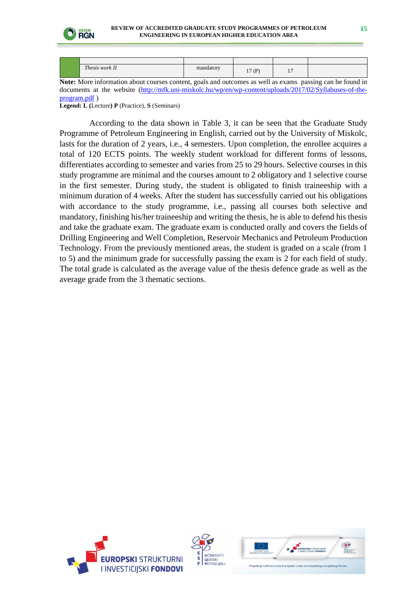

| Thesis work II | mandatory | 17(P)<br>$\mathbf{r}$ | $\overline{\phantom{0}}$<br>. . |  |
|----------------|-----------|-----------------------|---------------------------------|--|

**Note:** More information about courses content, goals and outcomes as well as exams passing can be found in documents at the website [\(http://mfk.uni-miskolc.hu/wp/en/wp-content/uploads/2017/02/Syllabuses-of-the](http://mfk.uni-miskolc.hu/wp/en/wp-content/uploads/2017/02/Syllabuses-of-the-program.pdf)[program.pdf](http://mfk.uni-miskolc.hu/wp/en/wp-content/uploads/2017/02/Syllabuses-of-the-program.pdf) )

**Legend: L (**Lecture**) P** (Practice), **S** (Seminars)

According to the data shown in Table 3, it can be seen that the Graduate Study Programme of Petroleum Engineering in English, carried out by the University of Miskolc, lasts for the duration of 2 years, i.e., 4 semesters. Upon completion, the enrollee acquires a total of 120 ECTS points. The weekly student workload for different forms of lessons, differentiates according to semester and varies from 25 to 29 hours. Selective courses in this study programme are minimal and the courses amount to 2 obligatory and 1 selective course in the first semester. During study, the student is obligated to finish traineeship with a minimum duration of 4 weeks. After the student has successfully carried out his obligations with accordance to the study programme, i.e., passing all courses both selective and mandatory, finishing his/her traineeship and writing the thesis, he is able to defend his thesis and take the graduate exam. The graduate exam is conducted orally and covers the fields of Drilling Engineering and Well Completion, Reservoir Mechanics and Petroleum Production Technology. From the previously mentioned areas, the student is graded on a scale (from 1 to 5) and the minimum grade for successfully passing the exam is 2 for each field of study. The total grade is calculated as the average value of the thesis defence grade as well as the average grade from the 3 thematic sections.





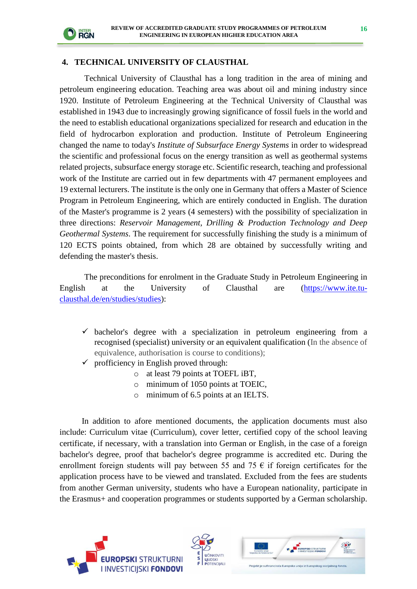

#### **4. TECHNICAL UNIVERSITY OF CLAUSTHAL**

Technical University of Clausthal has a long tradition in the area of mining and petroleum engineering education. Teaching area was about oil and mining industry since 1920. Institute of Petroleum Engineering at the Technical University of Clausthal was established in 1943 due to increasingly growing significance of fossil fuels in the world and the need to establish educational organizations specialized for research and education in the field of hydrocarbon exploration and production. Institute of Petroleum Engineering changed the name to today's *Institute of Subsurface Energy Systems* in order to widespread the scientific and professional focus on the energy transition as well as geothermal systems related projects, subsurface energy storage etc. Scientific research, teaching and professional work of the Institute are carried out in few departments with 47 permanent employees and 19 external lecturers. The institute is the only one in Germany that offers a Master of Science Program in Petroleum Engineering, which are entirely conducted in English. The duration of the Master's programme is 2 years (4 semesters) with the possibility of specialization in three directions: *Reservoir Management, Drilling & Production Technology and Deep Geothermal Systems*. The requirement for successfully finishing the study is a minimum of 120 ECTS points obtained, from which 28 are obtained by successfully writing and defending the master's thesis.

The preconditions for enrolment in the Graduate Study in Petroleum Engineering in English at the University of Clausthal are [\(https://www.ite.tu](https://www.ite.tu-clausthal.de/en/studies/studies)[clausthal.de/en/studies/studies\)](https://www.ite.tu-clausthal.de/en/studies/studies):

- $\checkmark$  bachelor's degree with a specialization in petroleum engineering from a recognised (specialist) university or an equivalent qualification (In the absence of equivalence, authorisation is course to conditions);
- profficiency in English proved through:
	- o at least 79 points at TOEFL iBT,
	- o minimum of 1050 points at TOEIC,
	- o minimum of 6.5 points at an IELTS.

In addition to afore mentioned documents, the application documents must also include: Curriculum vitae (Curriculum), cover letter, certified copy of the school leaving certificate, if necessary, with a translation into German or English, in the case of a foreign bachelor's degree, proof that bachelor's degree programme is accredited etc. During the enrollment foreign students will pay between 55 and 75  $\epsilon$  if foreign certificates for the application process have to be viewed and translated. Excluded from the fees are students from another German university, students who have a European nationality, participate in the Erasmus+ and cooperation programmes or students supported by a German scholarship.





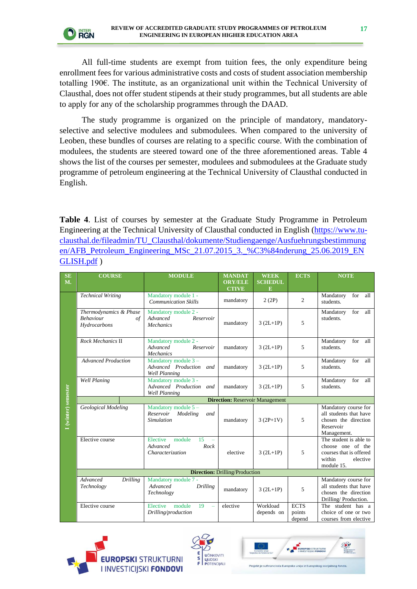All full-time students are exempt from tuition fees, the only expenditure being enrollment fees for various administrative costs and costs of student association membership totalling 190€. The institute, as an organizational unit within the Technical University of Clausthal, does not offer student stipends at their study programmes, but all students are able to apply for any of the scholarship programmes through the DAAD.

The study programme is organized on the principle of mandatory, mandatoryselective and selective modulees and submodulees. When compared to the university of Leoben, these bundles of courses are relating to a specific course. With the combination of modulees, the students are steered toward one of the three aforementioned areas. Table 4 shows the list of the courses per semester, modulees and submodulees at the Graduate study programme of petroleum engineering at the Technical University of Clausthal conducted in English.

**Table 4**. List of courses by semester at the Graduate Study Programme in Petroleum Engineering at the Technical University of Clausthal conducted in English [\(https://www.tu](https://www.tu-clausthal.de/fileadmin/TU_Clausthal/dokumente/Studiengaenge/Ausfuehrungsbestimmungen/AFB_Petroleum_Engineering_MSc_21.07.2015_3._%C3%84nderung_25.06.2019_ENGLISH.pdf)[clausthal.de/fileadmin/TU\\_Clausthal/dokumente/Studiengaenge/Ausfuehrungsbestimmung](https://www.tu-clausthal.de/fileadmin/TU_Clausthal/dokumente/Studiengaenge/Ausfuehrungsbestimmungen/AFB_Petroleum_Engineering_MSc_21.07.2015_3._%C3%84nderung_25.06.2019_ENGLISH.pdf) [en/AFB\\_Petroleum\\_Engineering\\_MSc\\_21.07.2015\\_3.\\_%C3%84nderung\\_25.06.2019\\_EN](https://www.tu-clausthal.de/fileadmin/TU_Clausthal/dokumente/Studiengaenge/Ausfuehrungsbestimmungen/AFB_Petroleum_Engineering_MSc_21.07.2015_3._%C3%84nderung_25.06.2019_ENGLISH.pdf) [GLISH.pdf](https://www.tu-clausthal.de/fileadmin/TU_Clausthal/dokumente/Studiengaenge/Ausfuehrungsbestimmungen/AFB_Petroleum_Engineering_MSc_21.07.2015_3._%C3%84nderung_25.06.2019_ENGLISH.pdf) )

| <b>SE</b><br>M.     | <b>COURSE</b>                                                            | <b>MODULE</b>                                                              | <b>MANDAT</b><br><b>ORY/ELE</b>       | <b>WEEK</b><br><b>SCHEDUL</b> | <b>ECTS</b>                     | <b>NOTE</b>                                                                                                |  |
|---------------------|--------------------------------------------------------------------------|----------------------------------------------------------------------------|---------------------------------------|-------------------------------|---------------------------------|------------------------------------------------------------------------------------------------------------|--|
|                     |                                                                          |                                                                            | <b>CTIVE</b>                          | E                             |                                 |                                                                                                            |  |
|                     | <b>Technical Writing</b>                                                 | Mandatory module 1 -<br><b>Communication Skills</b>                        | mandatory                             | 2(2P)                         | $\overline{c}$                  | for<br>Mandatory<br>all<br>students.                                                                       |  |
|                     | Thermodynamics & Phase<br><b>Behaviour</b><br>$\sigma f$<br>Hydrocarbons | Mandatory module 2 -<br>Advanced<br>Reservoir<br><b>Mechanics</b>          | mandatory                             | $3(2L+1P)$                    | 5                               | Mandatory<br>for<br>all<br>students.                                                                       |  |
|                     | Rock Mechanics II                                                        | Mandatory module 2 -<br>Advanced<br>Reservoir<br>Mechanics                 | mandatory                             | $3(2L+1P)$                    | 5                               | for<br>Mandatory<br>all<br>students.                                                                       |  |
|                     | <b>Advanced Production</b>                                               | Mandatory module 3-<br>Advanced Production<br>and<br><b>Well Planning</b>  | mandatory                             | $3(2L+1P)$                    | 5                               | for<br>all<br>Mandatory<br>students.                                                                       |  |
|                     | <b>Well Planing</b>                                                      | Mandatory module 3 -<br>Advanced Production<br>and<br><b>Well Planning</b> | mandatory                             | $3(2L+1P)$                    | 5                               | for<br>Mandatory<br>all<br>students.                                                                       |  |
|                     | <b>Direction: Reservoir Management</b>                                   |                                                                            |                                       |                               |                                 |                                                                                                            |  |
| I (winter) semester | Geological Modeling                                                      | Mandatory module 5-<br>Reservoir<br>Modeling<br>and<br><b>Simulation</b>   | mandatory                             | $3(2P+1V)$                    | 5                               | Mandatory course for<br>all students that have<br>chosen the direction<br>Reservoir<br>Management.         |  |
|                     | Elective course                                                          | Elective<br>15<br>module<br>Advanced<br>Rock<br>Characterization           | elective                              | $3 (2L+1P)$                   | 5                               | The student is able to<br>choose one of the<br>courses that is offered<br>within<br>elective<br>module 15. |  |
|                     |                                                                          |                                                                            | <b>Direction: Drilling/Production</b> |                               |                                 |                                                                                                            |  |
|                     | Advanced<br>Drilling<br>Technology                                       | Mandatory module 7 -<br>Advanced<br>Drilling<br>Technology                 | mandatory                             | $3(2L+1P)$                    | 5                               | Mandatory course for<br>all students that have<br>chosen the direction<br>Drilling/Production.             |  |
|                     | Elective course                                                          | Elective<br>19<br>module<br>Drilling/production                            | elective                              | Workload<br>depends on        | <b>ECTS</b><br>points<br>depend | The student has a<br>choice of one or two<br>courses from elective                                         |  |





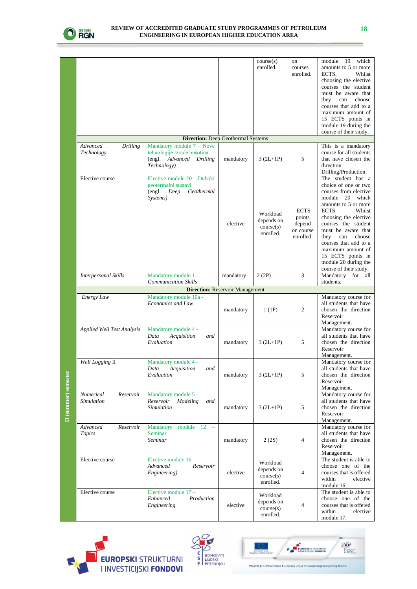

|                      |                                        |                                                                                                       |           | course(s)<br>enrolled.                           | on<br>courses<br>enrolled.                                | 19<br>which<br>module<br>amounts to 5 or more<br>ECTS.<br>Whilst<br>choosing the elective<br>courses the student<br>must be aware that<br>choose<br>they<br>can<br>courses that add to a<br>maximum amount of<br>15 ECTS points in<br>module 19 during the<br>course of their study.                                                                 |  |  |  |
|----------------------|----------------------------------------|-------------------------------------------------------------------------------------------------------|-----------|--------------------------------------------------|-----------------------------------------------------------|------------------------------------------------------------------------------------------------------------------------------------------------------------------------------------------------------------------------------------------------------------------------------------------------------------------------------------------------------|--|--|--|
|                      |                                        | <b>Direction:</b> Deep Geothermal Systems                                                             |           |                                                  |                                                           |                                                                                                                                                                                                                                                                                                                                                      |  |  |  |
|                      | Advanced<br>Drilling<br>Technology     | Mandatory module $7 -$ Nove<br>tehnologije izrade bušotina<br>(engl. Advanced Drilling<br>Technology) | mandatory | $3 (2L+1P)$                                      | 5                                                         | This is a mandatory<br>course for all students<br>that have chosen the<br>direction<br>Drilling/Production.                                                                                                                                                                                                                                          |  |  |  |
|                      | Elective course                        | Elective module 20 - Duboki<br>geotermalni sustavi<br>(engl.<br>Deep<br>Geothermal<br>Systems)        | elective  | Workload<br>depends on<br>course(s)<br>enrolled. | <b>ECTS</b><br>points<br>depend<br>on course<br>enrolled. | The student has a<br>choice of one or two<br>courses from elective<br>module 20 which<br>amounts to 5 or more<br>ECTS.<br>Whilst<br>choosing the elective<br>courses the student<br>must be aware that<br>they<br>can<br>choose<br>courses that add to a<br>maximum amount of<br>15 ECTS points in<br>module 20 during the<br>course of their study. |  |  |  |
|                      | <b>Interpersonal Skills</b>            | Mandatory module 1 -                                                                                  | mandatory | 2(2P)                                            | 3                                                         | Mandatory<br>for all                                                                                                                                                                                                                                                                                                                                 |  |  |  |
|                      |                                        | <b>Communication Skills</b>                                                                           |           |                                                  |                                                           | students.                                                                                                                                                                                                                                                                                                                                            |  |  |  |
|                      | <b>Direction: Reservoir Management</b> |                                                                                                       |           |                                                  |                                                           |                                                                                                                                                                                                                                                                                                                                                      |  |  |  |
|                      | <b>Energy Law</b>                      | Mandatory module 10a -<br>Economics and Law                                                           | mandatory | 1(1P)                                            | $\overline{c}$                                            | Mandatory course for<br>all students that have<br>chosen the direction<br>Reservoir<br>Management.                                                                                                                                                                                                                                                   |  |  |  |
|                      | Applied Well Test Analysis             | Mandatory module 4 -<br>Data<br>Acquisition<br>and<br>Evaluation                                      | mandatory | $3 (2L+1P)$                                      | 5                                                         | Mandatory course for<br>all students that have<br>chosen the direction<br>Reservoir<br>Management.                                                                                                                                                                                                                                                   |  |  |  |
|                      | Well Logging II                        | Mandatory module 4 -<br>Data<br>Acquisition<br>and<br>Evaluation                                      | mandatory | $3 (2L+1P)$                                      | 5                                                         | Mandatory course for<br>all students that have<br>chosen the direction<br>Reservoir<br>Management.                                                                                                                                                                                                                                                   |  |  |  |
| II (summer) semester | Numerical<br>Reservoir<br>Simulation   | Mandatory module $5-$<br>Reservoir<br>Modeling<br>and<br><b>Simulation</b>                            | mandatory | $3 (2L+1P)$                                      | 5                                                         | Mandatory course for<br>all students that have<br>chosen the direction<br>Reservoir<br>Management.                                                                                                                                                                                                                                                   |  |  |  |
|                      | Advanced<br>Reservoir<br>Topics        | Mandatory module 12 -<br>Seminar<br>Seminar                                                           | mandatory | 2(2S)                                            | $\overline{4}$                                            | Mandatory course for<br>all students that have<br>chosen the direction<br>Reservoir<br>Management.                                                                                                                                                                                                                                                   |  |  |  |
|                      | Elective course                        | Elective module $16 -$<br>Advanced<br>Reservoir<br>Engineering)                                       | elective  | Workload<br>depends on<br>course(s)<br>enrolled. | $\overline{4}$                                            | The student is able to<br>choose one of the<br>courses that is offered<br>within<br>elective<br>module 16.                                                                                                                                                                                                                                           |  |  |  |
|                      | Elective course                        | Elective module 17 -<br>Production<br>Enhanced<br>Engineering                                         | elective  | Workload<br>depends on<br>course(s)<br>enrolled. | $\overline{4}$                                            | The student is able to<br>choose one of the<br>courses that is offered<br>within<br>elective<br>module 17.                                                                                                                                                                                                                                           |  |  |  |





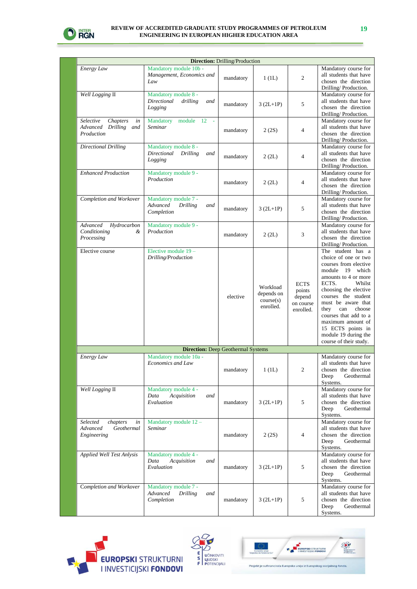

| <b>Direction: Drilling/Production</b>                               |                                                                          |           |                                                  |                                                           |                                                                                                                                                                                                                                                                                                                                                         |  |
|---------------------------------------------------------------------|--------------------------------------------------------------------------|-----------|--------------------------------------------------|-----------------------------------------------------------|---------------------------------------------------------------------------------------------------------------------------------------------------------------------------------------------------------------------------------------------------------------------------------------------------------------------------------------------------------|--|
| Energy Law                                                          | Mandatory module 10b -<br>Management, Economics and<br>Law               | mandatory | 1(L)                                             | $\overline{c}$                                            | Mandatory course for<br>all students that have<br>chosen the direction<br>Drilling/Production.                                                                                                                                                                                                                                                          |  |
| Well Logging II                                                     | Mandatory module 8 -<br>drilling<br>Directional<br>and<br>Logging        | mandatory | $3 (2L+1P)$                                      | 5                                                         | Mandatory course for<br>all students that have<br>chosen the direction<br>Drilling/Production.                                                                                                                                                                                                                                                          |  |
| Chapters<br>Selective<br>in<br>Advanced Drilling and<br>Production  | Mandatory<br>module 12 -<br>Seminar                                      | mandatory | 2(2S)                                            | $\overline{4}$                                            | Mandatory course for<br>all students that have<br>chosen the direction<br>Drilling/Production.                                                                                                                                                                                                                                                          |  |
| <b>Directional Drilling</b>                                         | Mandatory module 8 -<br>Directional<br>Drilling<br>and<br>Logging        | mandatory | 2(QL)                                            | $\overline{4}$                                            | Mandatory course for<br>all students that have<br>chosen the direction<br>Drilling/Production.                                                                                                                                                                                                                                                          |  |
| <b>Enhanced Production</b>                                          | Mandatory module 9 -<br>Production                                       | mandatory | 2(QL)                                            | $\overline{4}$                                            | Mandatory course for<br>all students that have<br>chosen the direction<br>Drilling/Production.                                                                                                                                                                                                                                                          |  |
| Completion and Workover                                             | Mandatory module 7 -<br>Advanced<br>Drilling<br>and<br>Completion        | mandatory | $3 (2L+1P)$                                      | 5                                                         | Mandatory course for<br>all students that have<br>chosen the direction<br>Drilling/Production.                                                                                                                                                                                                                                                          |  |
| Advanced<br>Hydrocarbon<br>Conditioning<br>&<br>Processing          | Mandatory module 9 -<br>Production                                       | mandatory | 2 (2L)                                           | 3                                                         | Mandatory course for<br>all students that have<br>chosen the direction<br>Drilling/Production.                                                                                                                                                                                                                                                          |  |
| Elective course                                                     | Elective module 19-<br>Drilling/Production                               | elective  | Workload<br>depends on<br>course(s)<br>enrolled. | <b>ECTS</b><br>points<br>depend<br>on course<br>enrolled. | The student has a<br>choice of one or two<br>courses from elective<br>module 19<br>which<br>amounts to 4 or more<br>ECTS.<br>Whilst<br>choosing the elective<br>courses the student<br>must be aware that<br>choose<br>they<br>can<br>courses that add to a<br>maximum amount of<br>15 ECTS points in<br>module 19 during the<br>course of their study. |  |
|                                                                     | <b>Direction:</b> Deep Geothermal Systems                                |           |                                                  |                                                           |                                                                                                                                                                                                                                                                                                                                                         |  |
| Energy Law                                                          | Mandatory module 10a -<br>Economics and Law                              | mandatory | 1 (1L)                                           | 2                                                         | Mandatory course for<br>all students that have<br>chosen the direction<br>Geothermal<br>Deep<br>Systems.                                                                                                                                                                                                                                                |  |
| Well Logging II                                                     | Mandatory module 4 -<br>Data<br>Acquisition<br>and<br>Evaluation         | mandatory | $3 (2L+1P)$                                      | 5                                                         | Mandatory course for<br>all students that have<br>chosen the direction<br>Geothermal<br>Deep<br>Systems.                                                                                                                                                                                                                                                |  |
| Selected<br>chapters<br>in<br>Advanced<br>Geothermal<br>Engineering | Mandatory module $12 -$<br>Seminar                                       | mandatory | 2(2S)                                            | $\overline{4}$                                            | Mandatory course for<br>all students that have<br>chosen the direction<br>Deep<br>Geothermal<br>Systems.                                                                                                                                                                                                                                                |  |
| <b>Applied Well Test Anlysis</b>                                    | Mandatory module 4 -<br>Acquisition<br>and<br>Data<br>Evaluation         | mandatory | $3 (2L+1P)$                                      | 5                                                         | Mandatory course for<br>all students that have<br>chosen the direction<br>Deep<br>Geothermal<br>Systems.                                                                                                                                                                                                                                                |  |
| Completion and Workover                                             | Mandatory module 7 -<br>Advanced<br><b>Drilling</b><br>and<br>Completion | mandatory | $3 (2L+1P)$                                      | 5                                                         | Mandatory course for<br>all students that have<br>chosen the direction<br>Geothermal<br>Deep<br>Systems.                                                                                                                                                                                                                                                |  |





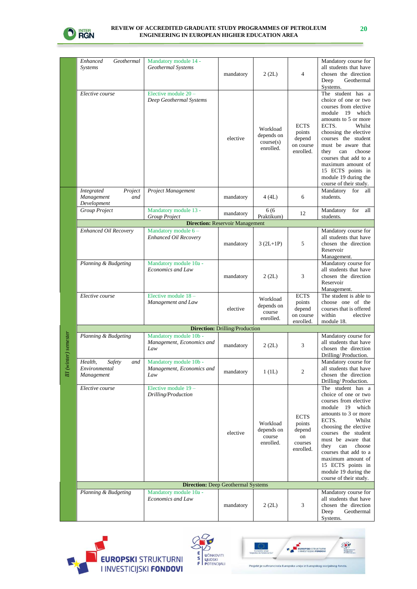

|                       | Geothermal<br>Enhanced<br>Systems                         | Mandatory module 14 -<br>Geothermal Systems                | mandatory                              | 2 (2L)                                           | $\overline{4}$                                                | Mandatory course for<br>all students that have<br>chosen the direction<br>Geothermal<br>Deep<br>Systems.                                                                                                                                                                                                                                             |  |  |
|-----------------------|-----------------------------------------------------------|------------------------------------------------------------|----------------------------------------|--------------------------------------------------|---------------------------------------------------------------|------------------------------------------------------------------------------------------------------------------------------------------------------------------------------------------------------------------------------------------------------------------------------------------------------------------------------------------------------|--|--|
|                       | Elective course                                           | Elective module $20 -$<br>Deep Geothermal Systems          | elective                               | Workload<br>depends on<br>course(s)<br>enrolled. | <b>ECTS</b><br>points<br>depend<br>on course<br>enrolled.     | The student has a<br>choice of one or two<br>courses from elective<br>module 19 which<br>amounts to 5 or more<br>ECTS.<br>Whilst<br>choosing the elective<br>courses the student<br>must be aware that<br>choose<br>they<br>can<br>courses that add to a<br>maximum amount of<br>15 ECTS points in<br>module 19 during the<br>course of their study. |  |  |
|                       | Integrated<br>Project<br>Management<br>and<br>Development | Project Management                                         | mandatory                              | 4(4L)                                            | 6                                                             | Mandatory for all<br>students.                                                                                                                                                                                                                                                                                                                       |  |  |
|                       | <b>Group Project</b>                                      | Mandatory module 13 -<br>Group Project                     | mandatory                              | 6 (6<br>Praktikum)                               | 12                                                            | Mandatory<br>for<br>all<br>students.                                                                                                                                                                                                                                                                                                                 |  |  |
|                       |                                                           |                                                            | <b>Direction: Reservoir Management</b> |                                                  |                                                               |                                                                                                                                                                                                                                                                                                                                                      |  |  |
|                       | Enhanced Oil Recovery                                     | Mandatory module 6-<br>Enhanced Oil Recovery               | mandatory                              | $3 (2L+1P)$                                      | 5                                                             | Mandatory course for<br>all students that have<br>chosen the direction<br>Reservoir<br>Management.                                                                                                                                                                                                                                                   |  |  |
|                       | Planning & Budgeting                                      | Mandatory module 10a -<br>Economics and Law                | mandatory                              | 2 (2L)                                           | 3                                                             | Mandatory course for<br>all students that have<br>chosen the direction<br>Reservoir<br>Management.                                                                                                                                                                                                                                                   |  |  |
|                       | Elective course                                           | Elective module 18 -<br>Management and Law                 | elective                               | Workload<br>depends on<br>course<br>enrolled.    | <b>ECTS</b><br>points<br>depend<br>on course<br>enrolled.     | The student is able to<br>choose one of the<br>courses that is offered<br>within<br>elective<br>module 18.                                                                                                                                                                                                                                           |  |  |
|                       | <b>Direction: Drilling/Production</b>                     |                                                            |                                        |                                                  |                                                               |                                                                                                                                                                                                                                                                                                                                                      |  |  |
| III (winter) semester | Planning & Budgeting                                      | Mandatory module 10b -<br>Management, Economics and<br>Law | mandatory                              | 2 (2L)                                           | 3                                                             | Mandatory course for<br>all students that have<br>chosen the direction<br>Drilling/Production.                                                                                                                                                                                                                                                       |  |  |
|                       | Health,<br>Safety<br>and<br>Environmental<br>Management   | Mandatory module 10b -<br>Management, Economics and<br>Law | mandatory                              | 1(L)                                             | $\mathfrak{2}$                                                | Mandatory course for<br>all students that have<br>chosen the direction<br>Drilling/Production.                                                                                                                                                                                                                                                       |  |  |
|                       | Elective course                                           | Elective module 19 -<br>Drilling/Production                | elective                               | Workload<br>depends on<br>course<br>enrolled.    | <b>ECTS</b><br>points<br>depend<br>on<br>courses<br>enrolled. | The student has a<br>choice of one or two<br>courses from elective<br>module 19 which<br>amounts to 3 or more<br>Whilst<br>ECTS.<br>choosing the elective<br>courses the student<br>must be aware that<br>can<br>choose<br>they<br>courses that add to a<br>maximum amount of<br>15 ECTS points in<br>module 19 during the<br>course of their study. |  |  |
|                       |                                                           | <b>Direction:</b> Deep Geothermal Systems                  |                                        |                                                  |                                                               |                                                                                                                                                                                                                                                                                                                                                      |  |  |
|                       | Planning & Budgeting                                      | Mandatory module 10a -<br>Economics and Law                | mandatory                              | 2 (2L)                                           | 3                                                             | Mandatory course for<br>all students that have<br>chosen the direction<br>Deep<br>Geothermal<br>Systems.                                                                                                                                                                                                                                             |  |  |





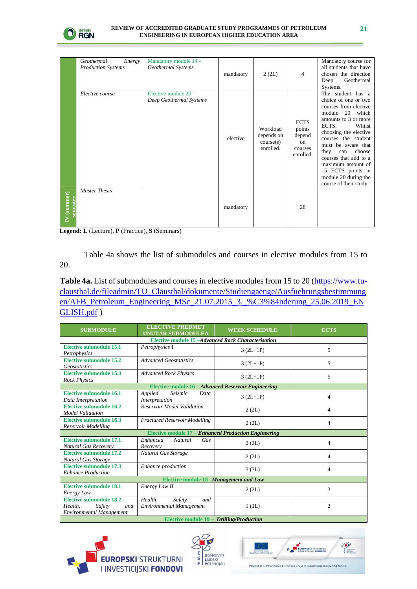

|                      | Geothermal<br>Energy<br><b>Production Systems</b> | Mandatory module 14 -<br>Geothermal Systems     | mandatory | 2 (2L)                                           | 4                                                             | Mandatory course for<br>all students that have<br>chosen the direction<br>Deep<br>Geothermal<br>Systems.                                                                                                                                                                                                                                             |
|----------------------|---------------------------------------------------|-------------------------------------------------|-----------|--------------------------------------------------|---------------------------------------------------------------|------------------------------------------------------------------------------------------------------------------------------------------------------------------------------------------------------------------------------------------------------------------------------------------------------------------------------------------------------|
|                      | Elective course                                   | Elective module 20 -<br>Deep Geothermal Systems | elective  | Workload<br>depends on<br>course(s)<br>enrolled. | <b>ECTS</b><br>points<br>depend<br>on<br>courses<br>enrolled. | The student has a<br>choice of one or two<br>courses from elective<br>module 20 which<br>amounts to 3 or more<br>ECTS.<br>Whilst<br>choosing the elective<br>courses the student<br>must be aware that<br>choose<br>they<br>can<br>courses that add to a<br>maximum amount of<br>15 ECTS points in<br>module 20 during the<br>course of their study. |
| (summer)<br>semester | <b>Master Thesis</b>                              |                                                 | mandatory |                                                  | 28                                                            |                                                                                                                                                                                                                                                                                                                                                      |

**Legend: L** (Lecture), **P** (Practice), **S** (Seminars)

Table 4a shows the list of submodules and courses in elective modules from 15 to 20.

**Table 4a.** List of submodules and courses in elective modules from 15 to 20 [\(https://www.tu](https://www.tu-clausthal.de/fileadmin/TU_Clausthal/dokumente/Studiengaenge/Ausfuehrungsbestimmungen/AFB_Petroleum_Engineering_MSc_21.07.2015_3._%C3%84nderung_25.06.2019_ENGLISH.pdf)[clausthal.de/fileadmin/TU\\_Clausthal/dokumente/Studiengaenge/Ausfuehrungsbestimmung](https://www.tu-clausthal.de/fileadmin/TU_Clausthal/dokumente/Studiengaenge/Ausfuehrungsbestimmungen/AFB_Petroleum_Engineering_MSc_21.07.2015_3._%C3%84nderung_25.06.2019_ENGLISH.pdf) [en/AFB\\_Petroleum\\_Engineering\\_MSc\\_21.07.2015\\_3.\\_%C3%84nderung\\_25.06.2019\\_EN](https://www.tu-clausthal.de/fileadmin/TU_Clausthal/dokumente/Studiengaenge/Ausfuehrungsbestimmungen/AFB_Petroleum_Engineering_MSc_21.07.2015_3._%C3%84nderung_25.06.2019_ENGLISH.pdf) [GLISH.pdf](https://www.tu-clausthal.de/fileadmin/TU_Clausthal/dokumente/Studiengaenge/Ausfuehrungsbestimmungen/AFB_Petroleum_Engineering_MSc_21.07.2015_3._%C3%84nderung_25.06.2019_ENGLISH.pdf))

| <b>SUBMODULE</b>                                                                       | <b>ELECTIVE PREDMET</b><br><b>UNUTAR SUBMODULEA</b>         | <b>WEEK SCHEDULE</b> | <b>ECTS</b>    |  |  |  |  |
|----------------------------------------------------------------------------------------|-------------------------------------------------------------|----------------------|----------------|--|--|--|--|
| Elective module 15-Advanced Rock Characterisation                                      |                                                             |                      |                |  |  |  |  |
| <b>Elective submodule 15.1</b><br>Petrophysics                                         | Petrophysics I                                              | $3 (2L+1P)$          | 5              |  |  |  |  |
| <b>Elective submodule 15.2</b><br>Geostatistics                                        | <b>Advanced Geostatistics</b>                               | $3 (2L+1P)$          | 5              |  |  |  |  |
| <b>Elective submodule 15.3</b><br><b>Rock Physics</b>                                  | <b>Advanced Rock Physics</b>                                | $3 (2L+1P)$          | 5              |  |  |  |  |
|                                                                                        | Elective module 16 - Advanced Reservoir Engineering         |                      |                |  |  |  |  |
| <b>Elective submodule 16.1</b><br>Data Interpretation                                  | Applied<br>Seismic<br>Data<br>Interpretation                | $3(2L+1P)$           | 4              |  |  |  |  |
| <b>Elective submodule 16.2</b><br><b>Model Validation</b>                              | <b>Reservoir Model Validation</b>                           | 2 (2L)               | 4              |  |  |  |  |
| Elective submodule 16.3<br>Reservoir Modelling                                         | <b>Fractured Reservoir Modelling</b>                        | 2 (2L)               | 4              |  |  |  |  |
|                                                                                        | Elective module 17 - Enhanced Production Engineering        |                      |                |  |  |  |  |
| <b>Elective submodule 17.1</b><br><b>Natural Gas Recovery</b>                          | Enhanced<br><b>Natural</b><br>Gas<br>Recovery               | 2 (2L)               | 4              |  |  |  |  |
| Elective submodule 17.2<br>Natural Gas Storage                                         | Natural Gas Storage                                         | 2 (2L)               | 4              |  |  |  |  |
| <b>Elective submodule 17.3</b><br><b>Enhance Production</b>                            | Enhance production                                          | 3(3L)                | 4              |  |  |  |  |
|                                                                                        | Elective module 18 -Management and Law                      |                      |                |  |  |  |  |
| <b>Elective submodule 18.1</b><br><b>Energy Law</b>                                    | Energy Law II                                               | 2 (2L)               | 3              |  |  |  |  |
| <b>Elective submodule 18.2</b><br>Health.<br>Safety<br>and<br>Environmental Management | Safety<br>Health.<br>and<br><b>Environmental Management</b> | 1(L)                 | $\overline{c}$ |  |  |  |  |
| Elective module 19 - Drilling/Production                                               |                                                             |                      |                |  |  |  |  |

**ROPSKI** STRUKTURNI **I INVESTICIJSKI FONDOVI** 



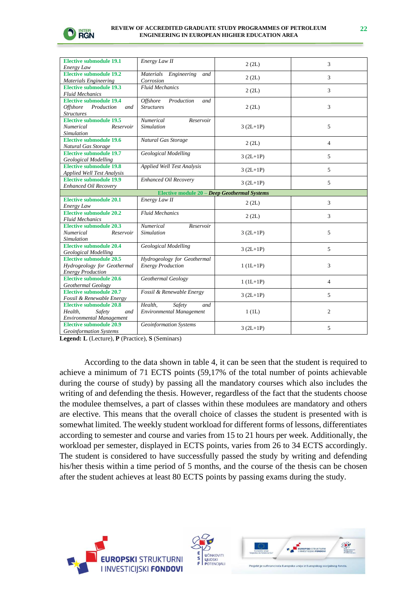

| <b>Elective submodule 19.1</b>                                  | Energy Law II                                | 2 (2L)      | 3              |
|-----------------------------------------------------------------|----------------------------------------------|-------------|----------------|
| Energy Law                                                      |                                              |             |                |
| <b>Elective submodule 19.2</b>                                  | Materials Engineering<br>and                 | 2 (2L)      | 3              |
| <b>Materials Engineering</b>                                    | Corrosion                                    |             |                |
| <b>Elective submodule 19.3</b>                                  | <b>Fluid Mechanics</b>                       | 2 (2L)      | 3              |
| <b>Fluid Mechanics</b>                                          |                                              |             |                |
| <b>Elective submodule 19.4</b>                                  | <b>Offshore</b><br>Production<br>and         |             |                |
| <i><b>Offshore</b></i><br>Production<br>and                     | <b>Structures</b>                            | 2 (2L)      | 3              |
| <b>Structures</b>                                               |                                              |             |                |
| <b>Elective submodule 19.5</b>                                  | Numerical<br>Reservoir                       |             |                |
| Numerical<br>Reservoir                                          | Simulation                                   | $3 (2L+1P)$ | 5              |
| Simulation                                                      |                                              |             |                |
| <b>Elective submodule 19.6</b>                                  | Natural Gas Storage                          |             |                |
| Natural Gas Storage                                             |                                              | 2 (2L)      | $\overline{4}$ |
| <b>Elective submodule 19.7</b>                                  | <b>Geological Modelling</b>                  |             |                |
| <b>Geological Modelling</b>                                     |                                              | $3(2L+1P)$  | 5              |
| <b>Elective submodule 19.8</b>                                  | <b>Applied Well Test Analysis</b>            |             |                |
| Applied Well Test Analysis                                      |                                              | $3 (2L+1P)$ | 5              |
| <b>Elective submodule 19.9</b>                                  | Enhanced Oil Recovery                        |             |                |
| Enhanced Oil Recovery                                           |                                              | $3(2L+1P)$  | 5              |
|                                                                 | Elective module 20 - Deep Geothermal Systems |             |                |
| <b>Elective submodule 20.1</b>                                  | Energy Law II                                |             |                |
| Energy Law                                                      |                                              | 2 (2L)      | 3              |
| Elective submodule 20.2                                         | <b>Fluid Mechanics</b>                       |             |                |
| <b>Fluid Mechanics</b>                                          |                                              | 2 (2L)      | 3              |
| <b>Elective submodule 20.3</b>                                  | Numerical<br>Reservoir                       |             |                |
| Numerical<br>Reservoir                                          |                                              |             |                |
|                                                                 | Simulation                                   |             |                |
|                                                                 |                                              | $3 (2L+1P)$ | 5              |
| <b>Simulation</b>                                               |                                              |             |                |
| <b>Elective submodule 20.4</b>                                  | <b>Geological Modelling</b>                  | $3(2L+1P)$  | 5              |
| <b>Geological Modelling</b>                                     |                                              |             |                |
| <b>Elective submodule 20.5</b>                                  | Hydrogeology for Geothermal                  |             |                |
| Hydrogeology for Geothermal                                     | <b>Energy Production</b>                     | $1 (1L+1P)$ | 3              |
| <b>Energy Production</b>                                        |                                              |             |                |
| Elective submodule 20.6                                         | Geothermal Geology                           | $1 (1L+1P)$ | 4              |
| Geothermal Geology                                              |                                              |             |                |
| <b>Elective submodule 20.7</b>                                  | Fossil & Renewable Energy                    | $3(2L+1P)$  | 5              |
| Fossil & Renewable Energy                                       |                                              |             |                |
| <b>Elective submodule 20.8</b>                                  | Health.<br>Safety<br>and                     |             |                |
| Health,<br>Safety<br>and                                        | <b>Environmental Management</b>              | 1(L)        | $\overline{2}$ |
| <b>Environmental Management</b>                                 |                                              |             |                |
| <b>Elective submodule 20.9</b><br><b>Geoinformation Systems</b> | <b>Geoinformation Systems</b>                | $3 (2L+1P)$ | 5              |

**Legend: L** (Lecture), **P** (Practice), **S** (Seminars)

According to the data shown in table 4, it can be seen that the student is required to achieve a minimum of 71 ECTS points (59,17% of the total number of points achievable during the course of study) by passing all the mandatory courses which also includes the writing of and defending the thesis. However, regardless of the fact that the students choose the modulee themselves, a part of classes within these modulees are mandatory and others are elective. This means that the overall choice of classes the student is presented with is somewhat limited. The weekly student workload for different forms of lessons, differentiates according to semester and course and varies from 15 to 21 hours per week. Additionally, the workload per semester, displayed in ECTS points, varies from 26 to 34 ECTS accordingly. The student is considered to have successfully passed the study by writing and defending his/her thesis within a time period of 5 months, and the course of the thesis can be chosen after the student achieves at least 80 ECTS points by passing exams during the study.





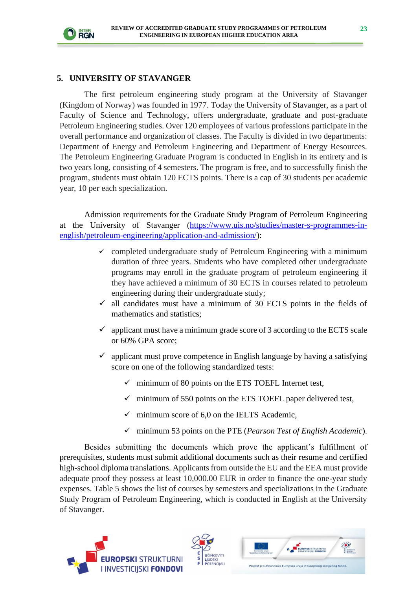

#### **5. UNIVERSITY OF STAVANGER**

The first petroleum engineering study program at the University of Stavanger (Kingdom of Norway) was founded in 1977. Today the University of Stavanger, as a part of Faculty of Science and Technology, offers undergraduate, graduate and post-graduate Petroleum Engineering studies. Over 120 employees of various professions participate in the overall performance and organization of classes. The Faculty is divided in two departments: Department of Energy and Petroleum Engineering and Department of Energy Resources. The Petroleum Engineering Graduate Program is conducted in English in its entirety and is two years long, consisting of 4 semesters. The program is free, and to successfully finish the program, students must obtain 120 ECTS points. There is a cap of 30 students per academic year, 10 per each specialization.

Admission requirements for the Graduate Study Program of Petroleum Engineering at the University of Stavanger [\(https://www.uis.no/studies/master-s-programmes-in](https://www.uis.no/studies/master-s-programmes-in-english/petroleum-engineering/application-and-admission/)[english/petroleum-engineering/application-and-admission/\)](https://www.uis.no/studies/master-s-programmes-in-english/petroleum-engineering/application-and-admission/):

- $\checkmark$  completed undergraduate study of Petroleum Engineering with a minimum duration of three years. Students who have completed other undergraduate programs may enroll in the graduate program of petroleum engineering if they have achieved a minimum of 30 ECTS in courses related to petroleum engineering during their undergraduate study;
- $\checkmark$  all candidates must have a minimum of 30 ECTS points in the fields of mathematics and statistics;
- $\checkmark$  applicant must have a minimum grade score of 3 according to the ECTS scale or 60% GPA score;
- $\checkmark$  applicant must prove competence in English language by having a satisfying score on one of the following standardized tests:
	- minimum of 80 points on the ETS TOEFL Internet test,
	- $\checkmark$  minimum of 550 points on the ETS TOEFL paper delivered test,
	- $\checkmark$  minimum score of 6,0 on the IELTS Academic,
	- ✓ minimum 53 points on the PTE (*Pearson Test of English Academic*).

Besides submitting the documents which prove the applicant's fulfillment of prerequisites, students must submit additional documents such as their resume and certified high-school diploma translations. Applicants from outside the EU and the EEA must provide adequate proof they possess at least 10,000.00 EUR in order to finance the one-year study expenses. Table 5 shows the list of courses by semesters and specializations in the Graduate Study Program of Petroleum Engineering, which is conducted in English at the University of Stavanger.





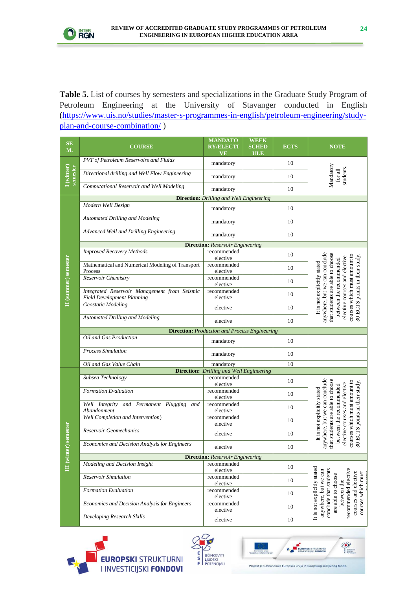

**Table 5.** List of courses by semesters and specializations in the Graduate Study Program of Petroleum Engineering at the University of Stavanger conducted in English [\(https://www.uis.no/studies/master-s-programmes-in-english/petroleum-engineering/study](https://www.uis.no/studies/master-s-programmes-in-english/petroleum-engineering/study-plan-and-course-combination/)[plan-and-course-combination/](https://www.uis.no/studies/master-s-programmes-in-english/petroleum-engineering/study-plan-and-course-combination/) )

| SE<br><b>M.</b>        | <b>COURSE</b>                                                                     | <b>MANDATO</b><br><b>RY/ELECTI</b><br>VE        | <b>WEEK</b><br><b>SCHED</b><br><b>ULE</b> | <b>ECTS</b> | <b>NOTE</b>                                                                                                                                                                                                                    |  |  |  |
|------------------------|-----------------------------------------------------------------------------------|-------------------------------------------------|-------------------------------------------|-------------|--------------------------------------------------------------------------------------------------------------------------------------------------------------------------------------------------------------------------------|--|--|--|
|                        | PVT of Petroleum Reservoirs and Fluids                                            | mandatory                                       |                                           | 10          |                                                                                                                                                                                                                                |  |  |  |
| I (winter)<br>semester | Directional drilling and Well Flow Engineering                                    | mandatory                                       |                                           | 10          | Mandatory<br>students.<br>for all                                                                                                                                                                                              |  |  |  |
|                        | <b>Computational Reservoir and Well Modeling</b>                                  | mandatory                                       |                                           | 10          |                                                                                                                                                                                                                                |  |  |  |
|                        | <b>Direction:</b> Drilling and Well Engineering                                   |                                                 |                                           |             |                                                                                                                                                                                                                                |  |  |  |
|                        | Modern Well Design                                                                | mandatory                                       |                                           | 10          |                                                                                                                                                                                                                                |  |  |  |
|                        | <b>Automated Drilling and Modeling</b>                                            | mandatory                                       |                                           | 10          |                                                                                                                                                                                                                                |  |  |  |
|                        | Advanced Well and Drilling Engineering                                            | mandatory                                       |                                           | 10          |                                                                                                                                                                                                                                |  |  |  |
|                        |                                                                                   | <b>Direction:</b> Reservoir Engineering         |                                           |             |                                                                                                                                                                                                                                |  |  |  |
|                        | <b>Improved Recovery Methods</b>                                                  | recommended<br>elective                         |                                           | 10          |                                                                                                                                                                                                                                |  |  |  |
|                        | Mathematical and Numerical Modeling of Transport<br>Process                       | recommended<br>elective                         |                                           | 10          |                                                                                                                                                                                                                                |  |  |  |
| II (summer) semester   | Reservoir Chemistry                                                               | recommended<br>elective                         |                                           | 10          | anywhere, but we can conclude<br>that students are able to choose<br>courses which must amount to<br>30 ECTS points in their study<br>elective courses and elective<br>between the recommended<br>It is not explicitly stated  |  |  |  |
|                        | Integrated Reservoir Management from Seismic<br><b>Field Development Planning</b> | recommended<br>elective                         |                                           | 10          |                                                                                                                                                                                                                                |  |  |  |
|                        | Geostatic Modeling                                                                | elective                                        |                                           | 10          |                                                                                                                                                                                                                                |  |  |  |
|                        | <b>Automated Drilling and Modeling</b>                                            | elective                                        |                                           | 10          |                                                                                                                                                                                                                                |  |  |  |
|                        | <b>Direction:</b> Production and Process Engineering                              |                                                 |                                           |             |                                                                                                                                                                                                                                |  |  |  |
|                        | Oil and Gas Production                                                            | mandatory                                       |                                           | 10          |                                                                                                                                                                                                                                |  |  |  |
|                        | <b>Process Simulation</b>                                                         | mandatory                                       |                                           | 10          |                                                                                                                                                                                                                                |  |  |  |
|                        | Oil and Gas Value Chain                                                           | mandatory                                       |                                           | 10          |                                                                                                                                                                                                                                |  |  |  |
|                        |                                                                                   | <b>Direction:</b> Drilling and Well Engineering |                                           |             |                                                                                                                                                                                                                                |  |  |  |
|                        | Subsea Technology                                                                 | recommended<br>elective                         |                                           | 10          |                                                                                                                                                                                                                                |  |  |  |
|                        | <b>Formation Evaluation</b>                                                       | recommended<br>elective                         |                                           | 10          |                                                                                                                                                                                                                                |  |  |  |
|                        | Well Integrity and Permanent Plugging and<br>Abandonment                          | recommended<br>elective                         |                                           | 10          | anywhere, but we can conclude<br>that students are able to choose<br>courses which must amount to<br>30 ECTS points in their study.<br>elective courses and elective<br>between the recommended<br>It is not explicitly stated |  |  |  |
|                        | <b>Well Completion and Intervention</b> )                                         | recommended<br>elective                         |                                           | 10          |                                                                                                                                                                                                                                |  |  |  |
| r) semester            | Reservoir Geomechanics                                                            | elective                                        |                                           | 10          |                                                                                                                                                                                                                                |  |  |  |
|                        | Economics and Decision Analysis for Engineers                                     | elective                                        |                                           | 10          |                                                                                                                                                                                                                                |  |  |  |
|                        |                                                                                   | <b>Direction:</b> Reservoir Engineering         |                                           |             |                                                                                                                                                                                                                                |  |  |  |
| III (winte             | Modeling and Decision Insight                                                     | recommended<br>elective                         |                                           | 10          |                                                                                                                                                                                                                                |  |  |  |
|                        | Reservoir Simulation                                                              | recommended<br>elective                         |                                           | 10          |                                                                                                                                                                                                                                |  |  |  |
|                        | <b>Formation Evaluation</b>                                                       | recommended<br>elective                         |                                           | 10          | between the                                                                                                                                                                                                                    |  |  |  |
|                        | Economics and Decision Analysis for Engineers                                     | recommended<br>elective                         |                                           | 10          | It is not explicitly stated<br>recommended elective<br>conclude that students<br>anywhere, but we can<br>courses which must<br>courses and elective<br>are able to choose                                                      |  |  |  |
|                        | Developing Research Skills                                                        | elective                                        |                                           | $10\,$      |                                                                                                                                                                                                                                |  |  |  |





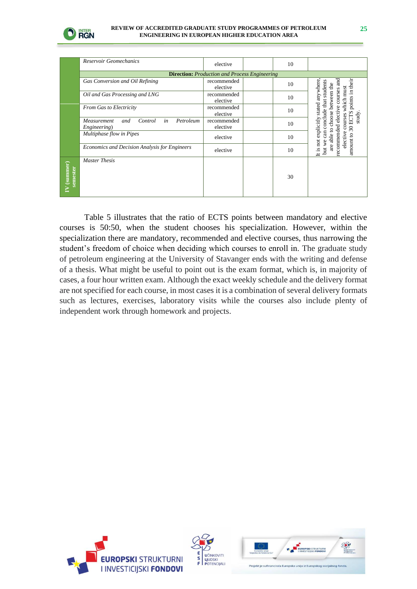

|                      | Reservoir Geomechanics                                                                       | elective                |  | 10 |                                                                   |  |  |  |
|----------------------|----------------------------------------------------------------------------------------------|-------------------------|--|----|-------------------------------------------------------------------|--|--|--|
|                      | <b>Direction:</b> Production and Process Engineering                                         |                         |  |    |                                                                   |  |  |  |
|                      | Gas Conversion and Oil Refining                                                              | recommended<br>elective |  | 10 | ап<br>anywhere                                                    |  |  |  |
|                      | Oil and Gas Processing and LNG                                                               | recommended<br>elective |  | 10 | points in their<br>between the<br>courses                         |  |  |  |
|                      | From Gas to Electricity                                                                      | recommended<br>elective |  | 10 | but we can conclude that students<br>courses which must<br>stated |  |  |  |
|                      | in<br>Control<br>Petroleum<br>Measurement<br>and<br>Engineering)<br>Multiphase flow in Pipes | recommended<br>elective |  | 10 | recommended elective<br>choose<br>30 ECTS<br>study.<br>explicitly |  |  |  |
|                      |                                                                                              | elective                |  | 10 | able to<br>elective<br>not                                        |  |  |  |
|                      | Economics and Decision Analysis for Engineers                                                | elective                |  | 10 | amount to<br>are<br>ltis                                          |  |  |  |
| (summer)<br>semester | <b>Master Thesis</b>                                                                         |                         |  | 30 |                                                                   |  |  |  |

Table 5 illustrates that the ratio of ECTS points between mandatory and elective courses is 50:50, when the student chooses his specialization. However, within the specialization there are mandatory, recommended and elective courses, thus narrowing the student's freedom of choice when deciding which courses to enroll in. The graduate study of petroleum engineering at the University of Stavanger ends with the writing and defense of a thesis. What might be useful to point out is the exam format, which is, in majority of cases, a four hour written exam. Although the exact weekly schedule and the delivery format are not specified for each course, in most cases it is a combination of several delivery formats such as lectures, exercises, laboratory visits while the courses also include plenty of independent work through homework and projects.





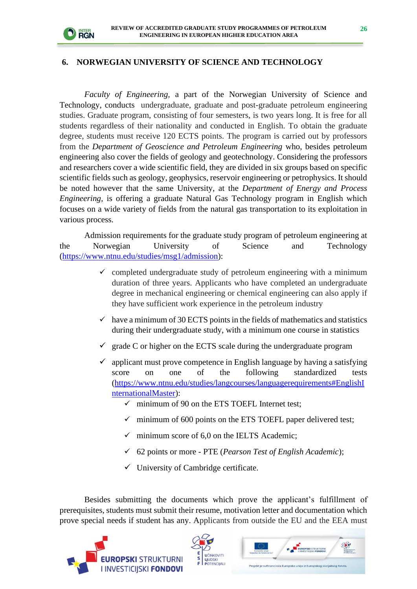

#### **6. NORWEGIAN UNIVERSITY OF SCIENCE AND TECHNOLOGY**

*Faculty of Engineering,* a part of the Norwegian University of Science and Technology, conducts undergraduate, graduate and post-graduate petroleum engineering studies. Graduate program, consisting of four semesters, is two years long. It is free for all students regardless of their nationality and conducted in English. To obtain the graduate degree, students must receive 120 ECTS points. The program is carried out by professors from the *Department of Geoscience and Petroleum Engineering* who, besides petroleum engineering also cover the fields of geology and geotechnology. Considering the professors and researchers cover a wide scientific field, they are divided in six groups based on specific scientific fields such as geology, geophysics, reservoir engineering or petrophysics. It should be noted however that the same University, at the *Department of Energy and Process Engineering,* is offering a graduate Natural Gas Technology program in English which focuses on a wide variety of fields from the natural gas transportation to its exploitation in various process.

Admission requirements for the graduate study program of petroleum engineering at the Norwegian University of Science and Technology [\(https://www.ntnu.edu/studies/msg1/admission\)](https://www.ntnu.edu/studies/msg1/admission):

- $\checkmark$  completed undergraduate study of petroleum engineering with a minimum duration of three years. Applicants who have completed an undergraduate degree in mechanical engineering or chemical engineering can also apply if they have sufficient work experience in the petroleum industry
- $\checkmark$  have a minimum of 30 ECTS points in the fields of mathematics and statistics during their undergraduate study, with a minimum one course in statistics
- $\checkmark$  grade C or higher on the ECTS scale during the undergraduate program
- $\checkmark$  applicant must prove competence in English language by having a satisfying score on one of the following standardized tests [\(https://www.ntnu.edu/studies/langcourses/languagerequirements#EnglishI](https://www.ntnu.edu/studies/langcourses/languagerequirements#EnglishInternationalMaster) [nternationalMaster\)](https://www.ntnu.edu/studies/langcourses/languagerequirements#EnglishInternationalMaster):
	- $\checkmark$  minimum of 90 on the ETS TOEFL Internet test;
	- minimum of 600 points on the ETS TOEFL paper delivered test;
	- minimum score of 6.0 on the IELTS Academic:
	- ✓ 62 points or more PTE (*Pearson Test of English Academic*);
	- $\checkmark$  University of Cambridge certificate.

Besides submitting the documents which prove the applicant's fulfillment of prerequisites, students must submit their resume, motivation letter and documentation which prove special needs if student has any. Applicants from outside the EU and the EEA must





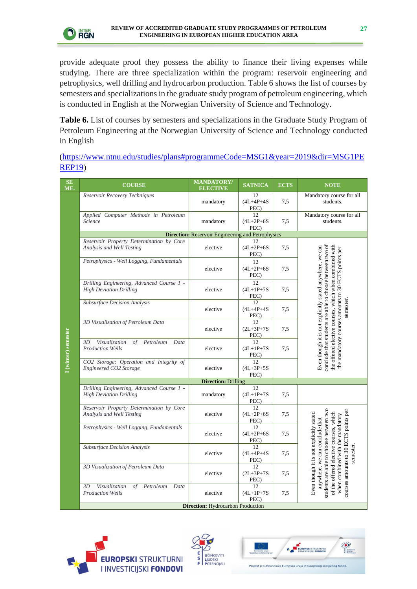

provide adequate proof they possess the ability to finance their living expenses while studying. There are three specialization within the program: reservoir engineering and petrophysics, well drilling and hydrocarbon production. Table 6 shows the list of courses by semesters and specializations in the graduate study program of petroleum engineering, which is conducted in English at the Norwegian University of Science and Technology.

**Table 6.** List of courses by semesters and specializations in the Graduate Study Program of Petroleum Engineering at the Norwegian University of Science and Technology conducted in English

### [\(https://www.ntnu.edu/studies/plans#programmeCode=MSG1&year=2019&dir=MSG1PE](https://www.ntnu.edu/studies/plans#programmeCode=MSG1&year=2019&dir=MSG1PEREP19) [REP19\)](https://www.ntnu.edu/studies/plans#programmeCode=MSG1&year=2019&dir=MSG1PEREP19)

| SE<br>ME.           | <b>COURSE</b>                                                               | <b>MANDATORY/</b><br><b>ELECTIVE</b>                     | <b>SATNICA</b>                 | <b>ECTS</b> | <b>NOTE</b>                                                                                                                                                                                                                                 |  |  |  |
|---------------------|-----------------------------------------------------------------------------|----------------------------------------------------------|--------------------------------|-------------|---------------------------------------------------------------------------------------------------------------------------------------------------------------------------------------------------------------------------------------------|--|--|--|
|                     | Reservoir Recovery Techniques                                               | mandatory                                                | 12<br>$(4L+4P+4S)$<br>PEC)     | 7,5         | Mandatory course for all<br>students.                                                                                                                                                                                                       |  |  |  |
|                     | Applied Computer Methods in Petroleum<br>Science                            | mandatory                                                | 12<br>$(4L + 2P + 6S)$<br>PEC) | 7,5         | Mandatory course for all<br>students.                                                                                                                                                                                                       |  |  |  |
|                     |                                                                             | <b>Direction:</b> Reservoir Engineering and Petrophysics |                                |             |                                                                                                                                                                                                                                             |  |  |  |
|                     | Reservoir Property Determination by Core<br>Analysis and Well Testing       | elective                                                 | 12<br>$(4L + 2P + 6S)$<br>PEC) | 7,5         |                                                                                                                                                                                                                                             |  |  |  |
|                     | Petrophysics - Well Logging, Fundamentals                                   | elective                                                 | 12<br>$(4L + 2P + 6S)$<br>PEC) | 7,5         | conclude that students are able to choose between two of<br>Even though it is not explicitly stated anywhere, we can<br>the offered elective courses, which when combined with<br>the mandatory courses amounts to 30 ECTS points per       |  |  |  |
|                     | Drilling Engineering, Advanced Course 1 -<br><b>High Deviation Drilling</b> | elective                                                 | 12<br>$(4L+1P+7S)$<br>PEC)     | 7,5         |                                                                                                                                                                                                                                             |  |  |  |
|                     | Subsurface Decision Analysis                                                | elective                                                 | 12<br>$(4L+4P+4S)$<br>PEC)     | 7,5         | semester.                                                                                                                                                                                                                                   |  |  |  |
|                     | 3D Visualization of Petroleum Data                                          | elective                                                 | 12<br>$(2L + 3P + 7S)$<br>PEC) | 7,5         |                                                                                                                                                                                                                                             |  |  |  |
| I (winter) semester | Visualization<br>of Petroleum Data<br>3D<br><b>Production Wells</b>         | elective                                                 | 12<br>$(4L+1P+7S)$<br>PEC)     | 7,5         |                                                                                                                                                                                                                                             |  |  |  |
|                     | CO2 Storage: Operation and Integrity of<br>Engineered CO2 Storage           | elective                                                 | 12<br>$(4L + 3P + 5S)$<br>PEC) |             |                                                                                                                                                                                                                                             |  |  |  |
|                     | <b>Direction: Drilling</b>                                                  |                                                          |                                |             |                                                                                                                                                                                                                                             |  |  |  |
|                     | Drilling Engineering, Advanced Course 1 -<br><b>High Deviation Drilling</b> | mandatory                                                | 12<br>$(4L+1P+7S)$<br>PEC)     | 7,5         |                                                                                                                                                                                                                                             |  |  |  |
|                     | Reservoir Property Determination by Core<br>Analysis and Well Testing       | elective                                                 | 12<br>$(4L + 2P + 6S)$<br>PEC) | 7,5         |                                                                                                                                                                                                                                             |  |  |  |
|                     | Petrophysics - Well Logging, Fundamentals                                   | elective                                                 | 12<br>$(4L + 2P + 6S)$<br>PEC) | 7,5         |                                                                                                                                                                                                                                             |  |  |  |
|                     | Subsurface Decision Analysis                                                | elective                                                 | 12<br>$(4L + 4P + 4S)$<br>PEC) | 7,5         | semester.                                                                                                                                                                                                                                   |  |  |  |
|                     | 3D Visualization of Petroleum Data                                          | elective                                                 | 12<br>$(2L + 3P + 7S)$<br>PEC) | 7,5         | students are able to choose between two<br>courses amounts to 30 ECTS points per<br>of the offered elective courses, which<br>Even though it is not explicitly stated<br>when combined with the mandatory<br>anywhere, we can conclude that |  |  |  |
|                     | Visualization<br>3D<br>of Petroleum Data<br><b>Production Wells</b>         | elective                                                 | 12<br>$(4L+1P+7S)$<br>PEC)     | 7,5         |                                                                                                                                                                                                                                             |  |  |  |
|                     | <b>Direction:</b> Hydrocarbon Production                                    |                                                          |                                |             |                                                                                                                                                                                                                                             |  |  |  |





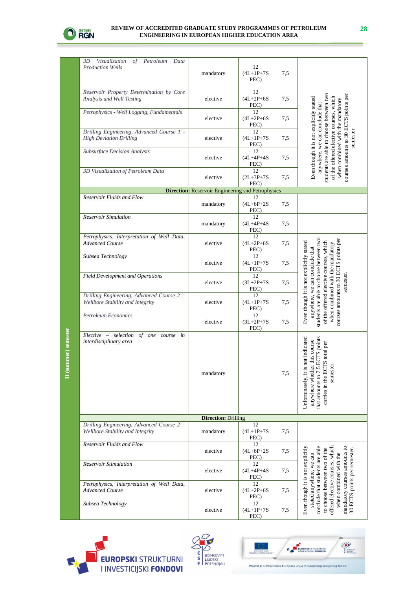

**II (summer) semester**

II (summer) semester

| 3D<br>Visualization of Petroleum Data<br><b>Production Wells</b>              | mandatory                                                | 12<br>$(4L+1P+7S)$<br>PEC)     | 7,5 |                                                                                                                                                                                                                                                             |
|-------------------------------------------------------------------------------|----------------------------------------------------------|--------------------------------|-----|-------------------------------------------------------------------------------------------------------------------------------------------------------------------------------------------------------------------------------------------------------------|
| Reservoir Property Determination by Core<br>Analysis and Well Testing         | elective                                                 | 12<br>$(4L+2P+6S)$<br>PEC)     | 7,5 |                                                                                                                                                                                                                                                             |
| Petrophysics - Well Logging, Fundamentals                                     | elective                                                 | 12<br>$(4L + 2P + 6S)$<br>PEC) | 7,5 | students are able to choose between two<br>courses amounts to 30 ECTS points per<br>of the offered elective courses, which<br>Even though it is not explicitly stated<br>combined with the mandatory<br>anywhere, we can conclude that                      |
| Drilling Engineering, Advanced Course 1 -<br><b>High Deviation Drilling</b>   | elective                                                 | 12<br>$(4L+1P+7S)$<br>PEC)     | 7,5 | semester.                                                                                                                                                                                                                                                   |
| Subsurface Decision Analysis                                                  | elective                                                 | 12<br>$(4L + 4P + 4S)$<br>PEC) | 7.5 |                                                                                                                                                                                                                                                             |
| 3D Visualization of Petroleum Data                                            | elective                                                 | 12<br>$(2L+3P+7S)$<br>PEC)     | 7,5 | when                                                                                                                                                                                                                                                        |
|                                                                               | <b>Direction:</b> Reservoir Engineering snd Petrophysics |                                |     |                                                                                                                                                                                                                                                             |
| Reservoir Fluids and Flow                                                     | mandatory                                                | 12<br>$(4L+6P+2S)$<br>PEC)     | 7,5 |                                                                                                                                                                                                                                                             |
| <b>Reservoir Simulation</b>                                                   | mandatory                                                | 12<br>$(4L + 4P + 4S)$<br>PEC) | 7,5 |                                                                                                                                                                                                                                                             |
| Petrophysics, Interpretation of Well Data,<br><b>Advanced Course</b>          | elective                                                 | 12<br>$(4L + 2P + 6S)$<br>PEC) | 7,5 |                                                                                                                                                                                                                                                             |
| Subsea Technology                                                             | elective                                                 | 12<br>$(4L+1P+7S)$<br>PEC)     | 7,5 |                                                                                                                                                                                                                                                             |
| <b>Field Development and Operations</b>                                       | elective                                                 | 12<br>$(3L+2P+7S)$<br>PEC)     | 7,5 | students are able to choose between two<br>courses amounts to 30 ECTS points per<br>Even though it is not explicitly stated<br>of the offered elective courses, which<br>when combined with the mandatory<br>anywhere, we can conclude that<br>semester.    |
| Drilling Engineering, Advanced Course 2 -<br>Wellbore Stability and Integrity | elective                                                 | 12<br>$(4L+1P+7S)$<br>PEC)     | 7,5 |                                                                                                                                                                                                                                                             |
| <b>Petroleum Economics</b>                                                    | elective                                                 | 12<br>$(3L+2P+7S)$<br>PEC)     | 7,5 |                                                                                                                                                                                                                                                             |
| Elective – selection of one course in<br>interdisciplinary area               | mandatory                                                |                                | 7,5 | not indicated<br>ECTS points<br>this course<br>'S total per<br>carries in the ECT<br>semester<br>anywhere whether<br>that amounts to $7,\!5$<br>Unfortunately, it is                                                                                        |
|                                                                               | <b>Direction: Drilling</b>                               |                                |     |                                                                                                                                                                                                                                                             |
| Drilling Engineering, Advanced Course 2 -<br>Wellbore Stability and Integrity | mandatory                                                | 12<br>$(4L+1P+7S)$<br>PEC)     | 7,5 |                                                                                                                                                                                                                                                             |
| Reservoir Fluids and Flow                                                     | elective                                                 | 12<br>$(4L+6P+2S)$<br>PEC)     | 7,5 |                                                                                                                                                                                                                                                             |
| <b>Reservoir Stimulation</b>                                                  | elective                                                 | 12<br>$(4L+4P+4S)$<br>PEC)     | 7,5 | conclude that students are able<br>offered elective courses, which<br>Even though it is not explicitly<br>mandatory courses amounts to<br>to choose between two of the<br>30 ECTS points per semester.<br>when combined with the<br>stated anywhere, we can |
| Petrophysics, Interpretation of Well Data,<br><b>Advanced Course</b>          | elective                                                 | 12<br>$(4L + 2P + 6S)$<br>PEC) | 7,5 |                                                                                                                                                                                                                                                             |
| Subsea Technology                                                             | elective                                                 | 12<br>$(4L+1P+7S)$<br>PEC)     | 7,5 |                                                                                                                                                                                                                                                             |





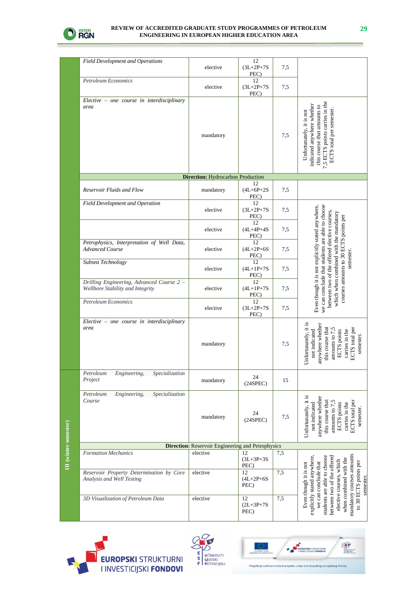

|                              | <b>Field Development and Operations</b>                                       | elective                                                 | 12<br>$(3L+2P+7S)$<br>PEC)     | 7,5 |                                                                                                                                                                                                                                                                   |
|------------------------------|-------------------------------------------------------------------------------|----------------------------------------------------------|--------------------------------|-----|-------------------------------------------------------------------------------------------------------------------------------------------------------------------------------------------------------------------------------------------------------------------|
|                              | <b>Petroleum Economics</b>                                                    | elective                                                 | 12<br>$(3L+2P+7S)$<br>PEC)     | 7,5 |                                                                                                                                                                                                                                                                   |
|                              | $Electric - one course in interdisciplinary$<br>area                          | mandatory                                                |                                | 7,5 | 7,5 ECTS points carries in the<br>indicated anywhere whether<br>this course that amounts to<br>ECTS total per semester.<br>Unfortunately, it is not                                                                                                               |
|                              |                                                                               | <b>Direction:</b> Hydrocarbon Production                 |                                |     |                                                                                                                                                                                                                                                                   |
|                              | Reservoir Fluids and Flow                                                     | mandatory                                                | 12<br>$(4L+6P+2S)$<br>PEC)     | 7,5 |                                                                                                                                                                                                                                                                   |
|                              | <b>Field Development and Operation</b>                                        | elective                                                 | 12<br>$(3L+2P+7S)$<br>PEC)     | 7,5 |                                                                                                                                                                                                                                                                   |
|                              |                                                                               | elective                                                 | 12<br>$(4L + 4P + 4S)$<br>PEC) | 7,5 |                                                                                                                                                                                                                                                                   |
|                              | Petrophysics, Interpretation of Well Data,<br><b>Advanced Course</b>          | elective                                                 | 12<br>$(4L + 2P + 6S)$<br>PEC) | 7,5 | Even though it is not explicitly stated anywhere,<br>we can conclude that students are able to choose<br>between two of the offered elective courses,<br>which when combined with the mandatory<br>courses amounts to 30 ECTS points per                          |
|                              | Subsea Technology                                                             | elective                                                 | 12<br>$(4L+1P+7S)$<br>PEC)     | 7,5 | semester.                                                                                                                                                                                                                                                         |
|                              | Drilling Engineering, Advanced Course 2 -<br>Wellbore Stability and Integrity | elective                                                 | 12<br>$(4L+1P+7S)$<br>PEC)     | 7,5 |                                                                                                                                                                                                                                                                   |
|                              | <b>Petroleum Economics</b>                                                    | elective                                                 | 12<br>$(3L+2P+7S)$<br>PEC)     | 7,5 |                                                                                                                                                                                                                                                                   |
|                              | Elective - one course in interdisciplinary<br>area                            | mandatory                                                |                                | 7,5 | Unfortunately, it is<br>anywhere whether<br>ECTS total per<br>this course that<br>amounts to 7,5<br>not indicated<br>carries in the<br>ECTS points<br>semester.                                                                                                   |
|                              | Specialization<br>Petroleum<br>Engineering,<br>Project                        | mandatory                                                | 24<br>(24SPEC)                 | 15  |                                                                                                                                                                                                                                                                   |
|                              | Specialization<br>Petroleum<br>Engineering,<br>Course                         | mandatory                                                | 24<br>(24SPEC)                 | 7,5 | Unfortunately, it is<br>anywhere whether<br>ECTS total per<br>this course that<br>not indicated<br>carries in the<br>amounts to $7$ ,<br>ECTS points<br>semester.                                                                                                 |
|                              |                                                                               | <b>Direction:</b> Reservoir Engineering and Petrophysics |                                |     |                                                                                                                                                                                                                                                                   |
| <b>III</b> (winter semester) | <b>Formation Mechanics</b>                                                    | elective                                                 | 12<br>$(3L+3P+3S)$<br>PEC)     | 7,5 |                                                                                                                                                                                                                                                                   |
|                              | Reservoir Property Determination by Core<br>Analysis and Well Testing         | elective                                                 | 12<br>$(4L + 2P + 6S)$<br>PEC) | 7,5 | mandatory courses amounts<br>students are able to choose<br>between two of the offered<br>explicitly stated anywhere.<br>when combined with the<br>elective courses, which<br>to 30 ECTS points per<br>Even though it is not<br>we can conclude that<br>semester. |
|                              | 3D Visualization of Petroleum Data                                            | elective                                                 | 12<br>$(2L + 3P + 7S)$<br>PEC) | 7,5 |                                                                                                                                                                                                                                                                   |



III (winter semester)



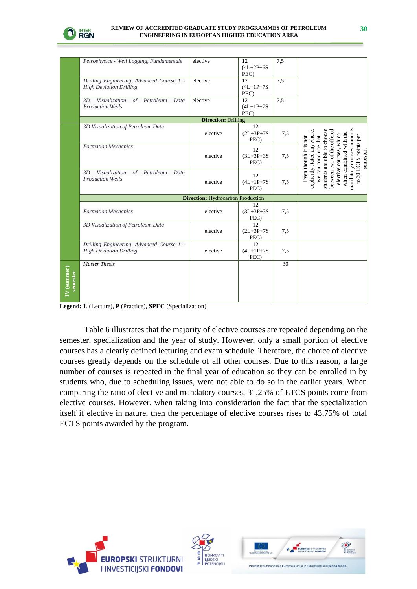

|                           | Petrophysics - Well Logging, Fundamentals                                   | elective                                 | 12<br>$(4L+2P+6S)$<br>PEC) | 7.5 |                                                                                                                                                                                                                                                                  |
|---------------------------|-----------------------------------------------------------------------------|------------------------------------------|----------------------------|-----|------------------------------------------------------------------------------------------------------------------------------------------------------------------------------------------------------------------------------------------------------------------|
|                           | Drilling Engineering, Advanced Course 1 -<br><b>High Deviation Drilling</b> | elective                                 | 12<br>$(4L+1P+7S)$<br>PEC) | 7.5 |                                                                                                                                                                                                                                                                  |
|                           | Visualization<br>of Petroleum<br>3D<br>Data<br><b>Production Wells</b>      | elective                                 | 12<br>$(4L+1P+7S)$<br>PEC) | 7.5 |                                                                                                                                                                                                                                                                  |
|                           |                                                                             | <b>Direction: Drilling</b>               |                            |     |                                                                                                                                                                                                                                                                  |
|                           | 3D Visualization of Petroleum Data                                          | elective                                 | 12<br>$(2L+3P+7S)$<br>PEC) | 7,5 |                                                                                                                                                                                                                                                                  |
|                           | Formation Mechanics                                                         | elective                                 | 12<br>$(3L+3P+3S)$<br>PEC) | 7,5 | mandatory courses amounts<br>students are able to choose<br>between two of the offered<br>explicitly stated anywhere<br>when combined with the<br>elective courses, which<br>to 30 ECTS points per<br>we can conclude that<br>Even though it is not<br>semester. |
|                           | Visualization<br>of Petroleum<br>3D<br>Data<br><b>Production Wells</b>      | elective                                 | 12<br>$(4L+1P+7S)$<br>PEC) | 7,5 |                                                                                                                                                                                                                                                                  |
|                           |                                                                             | <b>Direction:</b> Hydrocarbon Production |                            |     |                                                                                                                                                                                                                                                                  |
|                           | <b>Formation Mechanics</b>                                                  | elective                                 | 12<br>$(3L+3P+3S)$<br>PEC) | 7.5 |                                                                                                                                                                                                                                                                  |
|                           | 3D Visualization of Petroleum Data                                          | elective                                 | 12<br>$(2L+3P+7S)$<br>PEC) | 7,5 |                                                                                                                                                                                                                                                                  |
|                           | Drilling Engineering, Advanced Course 1 -<br><b>High Deviation Drilling</b> | elective                                 | 12<br>$(4L+1P+7S)$<br>PEC) | 7,5 |                                                                                                                                                                                                                                                                  |
| $(V$ (summer)<br>semester | <b>Master Thesis</b>                                                        |                                          |                            | 30  |                                                                                                                                                                                                                                                                  |

**Legend: L** (Lecture), **P** (Practice), **SPEC** (Specialization)

Table 6 illustrates that the majority of elective courses are repeated depending on the semester, specialization and the year of study. However, only a small portion of elective courses has a clearly defined lecturing and exam schedule. Therefore, the choice of elective courses greatly depends on the schedule of all other courses. Due to this reason, a large number of courses is repeated in the final year of education so they can be enrolled in by students who, due to scheduling issues, were not able to do so in the earlier years. When comparing the ratio of elective and mandatory courses, 31,25% of ETCS points come from elective courses. However, when taking into consideration the fact that the specialization itself if elective in nature, then the percentage of elective courses rises to 43,75% of total ECTS points awarded by the program.





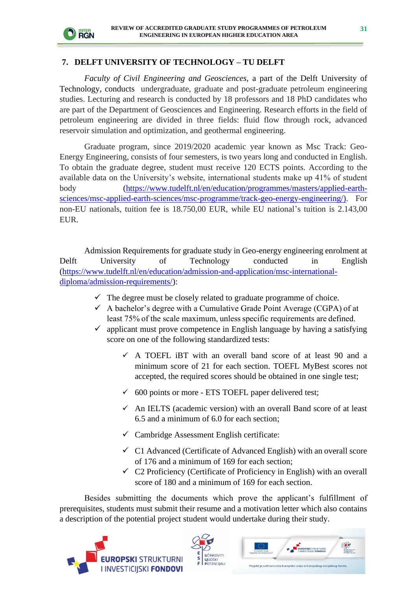

### **7. DELFT UNIVERSITY OF TECHNOLOGY – TU DELFT**

*Faculty of Civil Engineering and Geosciences,* a part of the Delft University of Technology, conducts undergraduate, graduate and post-graduate petroleum engineering studies. Lecturing and research is conducted by 18 professors and 18 PhD candidates who are part of the Department of Geosciences and Engineering. Research efforts in the field of petroleum engineering are divided in three fields: fluid flow through rock, advanced reservoir simulation and optimization, and geothermal engineering.

Graduate program, since 2019/2020 academic year known as Msc Track: Geo-Energy Engineering, consists of four semesters, is two years long and conducted in English. To obtain the graduate degree, student must receive 120 ECTS points. According to the available data on the University's website, international students make up 41% of student body [\(https://www.tudelft.nl/en/education/programmes/masters/applied-earth](https://www.tudelft.nl/en/education/programmes/masters/applied-earth-sciences/msc-applied-earth-sciences/msc-programme/track-geo-energy-engineering/))[sciences/msc-applied-earth-sciences/msc-programme/track-geo-energy-engineering/\).](https://www.tudelft.nl/en/education/programmes/masters/applied-earth-sciences/msc-applied-earth-sciences/msc-programme/track-geo-energy-engineering/)) For non-EU nationals, tuition fee is 18.750,00 EUR, while EU national's tuition is 2.143,00 EUR.

Admission Requirements for graduate study in Geo-energy engineering enrolment at Delft University of Technology conducted in English [\(https://www.tudelft.nl/en/education/admission-and-application/msc-international](https://www.tudelft.nl/en/education/admission-and-application/msc-international-diploma/admission-requirements/)[diploma/admission-requirements/\)](https://www.tudelft.nl/en/education/admission-and-application/msc-international-diploma/admission-requirements/):

- $\checkmark$  The degree must be closely related to graduate programme of choice.
- $\checkmark$  A bachelor's degree with a Cumulative Grade Point Average (CGPA) of at least 75% of the scale maximum, unless specific requirements are defined.
- $\checkmark$  applicant must prove competence in English language by having a satisfying score on one of the following standardized tests:
	- $\checkmark$  A TOEFL iBT with an overall band score of at least 90 and a minimum score of 21 for each section. TOEFL MyBest scores not accepted, the required scores should be obtained in one single test;
	- $\checkmark$  600 points or more ETS TOEFL paper delivered test;
	- $\checkmark$  An IELTS (academic version) with an overall Band score of at least 6.5 and a minimum of 6.0 for each section;
	- $\checkmark$  Cambridge Assessment English certificate:
	- $\checkmark$  C1 Advanced (Certificate of Advanced English) with an overall score of 176 and a minimum of 169 for each section;
	- $\checkmark$  C<sub>2</sub> Proficiency (Certificate of Proficiency in English) with an overall score of 180 and a minimum of 169 for each section.

Besides submitting the documents which prove the applicant's fulfillment of prerequisites, students must submit their resume and a motivation letter which also contains a description of the potential project student would undertake during their study.





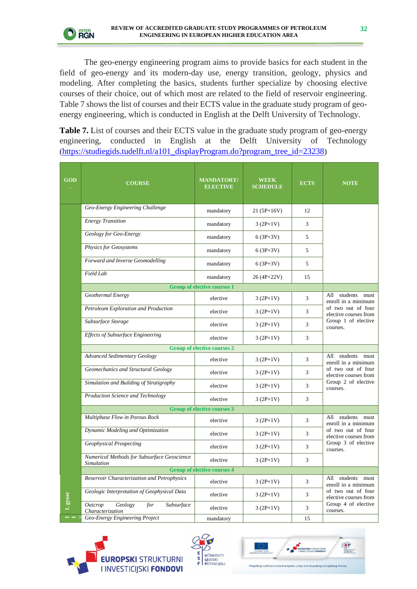

The geo-energy engineering program aims to provide basics for each student in the field of geo-energy and its modern-day use, energy transition, geology, physics and modeling. After completing the basics, students further specialize by choosing elective courses of their choice, out of which most are related to the field of reservoir engineering. Table 7 shows the list of courses and their ECTS value in the graduate study program of geoenergy engineering, which is conducted in English at the Delft University of Technology.

**Table 7.** List of courses and their ECTS value in the graduate study program of geo-energy engineering, conducted in English at the Delft University of Technology ([https://studiegids.tudelft.nl/a101\\_displayProgram.do?program\\_tree\\_id=23238](https://studiegids.tudelft.nl/a101_displayProgram.do?program_tree_id=23238))

| <b>GOD</b> | <b>COURSE</b>                                                      | <b>MANDATORY/</b><br><b>ELECTIVE</b> | <b>WEEK</b><br><b>SCHEDULE</b> | <b>ECTS</b> | <b>NOTE</b>                                                                    |  |
|------------|--------------------------------------------------------------------|--------------------------------------|--------------------------------|-------------|--------------------------------------------------------------------------------|--|
|            | Geo-Energy Engineering Challenge                                   | mandatory                            | 21 (5P+16V)                    | 12          |                                                                                |  |
|            | <b>Energy Transition</b>                                           | mandatory                            | $3(2P+1V)$                     | 3           |                                                                                |  |
|            | Geology for Geo-Energy                                             | mandatory                            | $6(3P+3V)$                     | 5           |                                                                                |  |
|            | <b>Physics for Geosystems</b>                                      | mandatory                            | $6(3P+3V)$                     | 5           |                                                                                |  |
|            | Forward and Inverse Geomodelling                                   | mandatory                            | $6(3P+3V)$                     | 5           |                                                                                |  |
|            | Field Lab                                                          | mandatory                            | 26 (4P+22V)                    | 15          |                                                                                |  |
|            |                                                                    | <b>Group of elective courses 1</b>   |                                |             |                                                                                |  |
|            | Geothermal Energy                                                  | elective                             | $3(2P+1V)$                     | 3           | students must<br>All<br>enroll in a minimum                                    |  |
|            | Petroleum Exploration and Production                               | elective                             | $3(2P+1V)$                     | 3           | of two out of four<br>elective courses from<br>Group 1 of elective<br>courses. |  |
|            | Subsurface Storage                                                 | elective                             | $3(2P+1V)$                     | 3           |                                                                                |  |
|            | Effects of Subsurface Engineering                                  | elective                             | $3(2P+1V)$                     | 3           |                                                                                |  |
|            | <b>Group of elective courses 2</b>                                 |                                      |                                |             |                                                                                |  |
|            | <b>Advanced Sedimentary Geology</b>                                | elective                             | $3(2P+1V)$                     | 3           | All students must<br>enroll in a minimum                                       |  |
|            | Geomechanics and Structural Geology                                | elective                             | $3(2P+1V)$                     | 3           | of two out of four<br>elective courses from                                    |  |
|            | Simulation and Building of Stratigraphy                            | elective                             | $3(2P+1V)$                     | 3           | Group 2 of elective<br>courses.                                                |  |
|            | Production Science and Technology                                  | elective                             | $3(2P+1V)$                     | 3           |                                                                                |  |
|            |                                                                    | <b>Group of elective courses 3</b>   |                                |             |                                                                                |  |
|            | Multiphase Flow in Porous Rock                                     | elective                             | $3(2P+1V)$                     | 3           | All students must<br>enroll in a minimum                                       |  |
|            | Dynamic Modeling and Optimization                                  | elective                             | $3(2P+1V)$                     | 3           | of two out of four<br>elective courses from                                    |  |
|            | <b>Geophysical Prospecting</b>                                     | elective                             | $3(2P+1V)$                     | 3           | Group 3 of elective<br>courses.                                                |  |
|            | Numerical Methods for Subsurface Geoscience<br><b>Simulation</b>   | elective                             | $3(2P+1V)$                     | 3           |                                                                                |  |
|            |                                                                    | <b>Group of elective courses 4</b>   |                                |             |                                                                                |  |
|            | Reservoir Characterization and Petrophysics                        | elective                             | $3(2P+1V)$                     | 3           | All students must<br>enroll in a minimum                                       |  |
|            | Geologic Interpretation of Geophysical Data                        | elective                             | $3(2P+1V)$                     | 3           | of two out of four<br>elective courses from                                    |  |
| I. gyear   | Subsurface<br><b>Outcrop</b><br>Geology<br>for<br>Characterization | elective                             | $3(2P+1V)$                     | 3           | Group 4 of elective<br>courses.                                                |  |
|            | <b>Geo-Energy Engineering Project</b>                              | mandatory                            |                                | 15          |                                                                                |  |





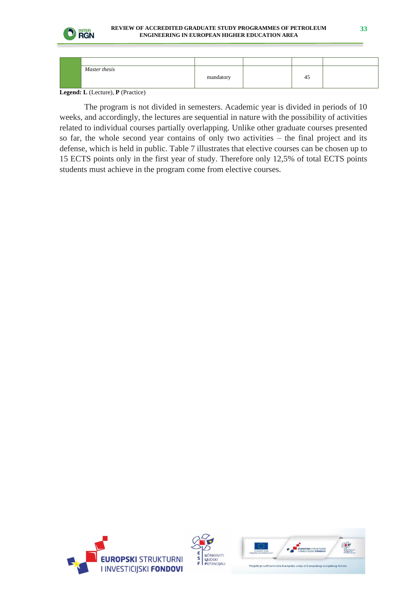

| Master thesis |           |    |  |
|---------------|-----------|----|--|
|               | mandatory | 43 |  |
|               |           |    |  |

**Legend: L** (Lecture), **P** (Practice)

The program is not divided in semesters. Academic year is divided in periods of 10 weeks, and accordingly, the lectures are sequential in nature with the possibility of activities related to individual courses partially overlapping. Unlike other graduate courses presented so far, the whole second year contains of only two activities – the final project and its defense, which is held in public. Table 7 illustrates that elective courses can be chosen up to 15 ECTS points only in the first year of study. Therefore only 12,5% of total ECTS points students must achieve in the program come from elective courses.





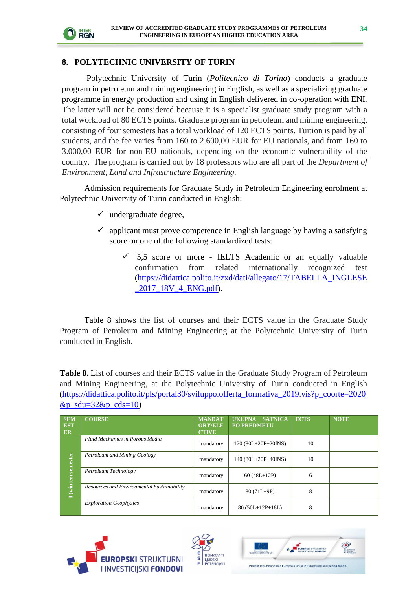

#### **8. POLYTECHNIC UNIVERSITY OF TURIN**

Polytechnic University of Turin (*Politecnico di Torino*) conducts a graduate program in petroleum and mining engineering in English, as well as a specializing graduate programme in energy production and using in English delivered in co-operation with ENI. The latter will not be considered because it is a specialist graduate study program with a total workload of 80 ECTS points. Graduate program in petroleum and mining engineering, consisting of four semesters has a total workload of 120 ECTS points. Tuition is paid by all students, and the fee varies from 160 to 2.600,00 EUR for EU nationals, and from 160 to 3.000,00 EUR for non-EU nationals, depending on the economic vulnerability of the country. The program is carried out by 18 professors who are all part of the *Department of Environment, Land and Infrastructure Engineering.*

Admission requirements for Graduate Study in Petroleum Engineering enrolment at Polytechnic University of Turin conducted in English:

- $\checkmark$  undergraduate degree,
- ✓ applicant must prove competence in English language by having a satisfying score on one of the following standardized tests:
	- $\checkmark$  5,5 score or more IELTS Academic or an equally valuable confirmation from related internationally recognized test [\(https://didattica.polito.it/zxd/dati/allegato/17/TABELLA\\_INGLESE](https://didattica.polito.it/zxd/dati/allegato/17/TABELLA_INGLESE_2017_18V_4_ENG.pdf) [\\_2017\\_18V\\_4\\_ENG.pdf\)](https://didattica.polito.it/zxd/dati/allegato/17/TABELLA_INGLESE_2017_18V_4_ENG.pdf).

Table 8 shows the list of courses and their ECTS value in the Graduate Study Program of Petroleum and Mining Engineering at the Polytechnic University of Turin conducted in English.

**Table 8.** List of courses and their ECTS value in the Graduate Study Program of Petroleum and Mining Engineering, at the Polytechnic University of Turin conducted in English [\(https://didattica.polito.it/pls/portal30/sviluppo.offerta\\_formativa\\_2019.vis?p\\_coorte=2020](https://didattica.polito.it/pls/portal30/sviluppo.offerta_formativa_2019.vis?p_coorte=2020&p_sdu=32&p_cds=10)  $&p$ \_sdu=32 $&p$ \_cds=10)

| <b>SEM</b><br><b>EST</b><br><b>ER</b> | <b>COURSE</b>                              | <b>MANDAT</b><br><b>ORY/ELE</b><br><b>CTIVE</b> | <b>SATNICA</b><br><b>UKUPNA</b><br><b>PO PREDMETU</b> | <b>ECTS</b> | <b>NOTE</b> |
|---------------------------------------|--------------------------------------------|-------------------------------------------------|-------------------------------------------------------|-------------|-------------|
| semester<br>I (winter)                | <b>Fluid Mechanics in Porous Media</b>     | mandatory                                       | $120(80L+20P+20INS)$                                  | 10          |             |
|                                       | Petroleum and Mining Geology               | mandatory                                       | 140 (80L+20P+40INS)                                   | 10          |             |
|                                       | Petroleum Technology                       | mandatory                                       | $60(48L+12P)$                                         | 6           |             |
|                                       | Resources and Environmental Sustainability | mandatory                                       | $80(71L+9P)$                                          | 8           |             |
|                                       | <b>Exploration Geophysics</b>              | mandatory                                       | $80(50L+12P+18L)$                                     | 8           |             |





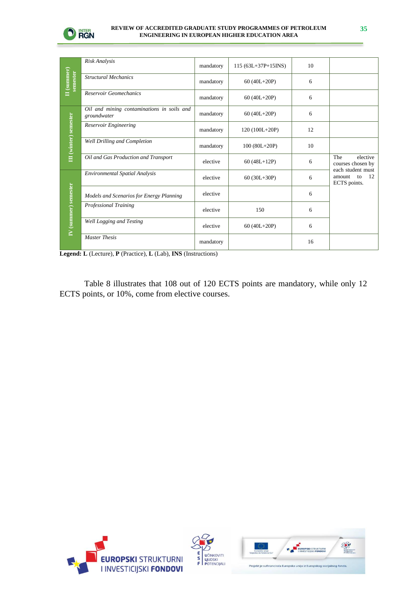

| $\mathbf H$ (summer)<br>semester | Risk Analysis                                             | mandatory | $115(63L+37P+15INS)$ | 10 |                                                         |
|----------------------------------|-----------------------------------------------------------|-----------|----------------------|----|---------------------------------------------------------|
|                                  | <b>Structural Mechanics</b>                               | mandatory | $60(40L+20P)$        | 6  |                                                         |
|                                  | Reservoir Geomechanics                                    | mandatory | $60(40L+20P)$        | 6  |                                                         |
| III (winter) semester            | Oil and mining contaminations in soils and<br>groundwater | mandatory | $60(40L+20P)$        | 6  |                                                         |
|                                  | Reservoir Engineering                                     | mandatory | $120(100L+20P)$      | 12 |                                                         |
|                                  | Well Drilling and Completion                              | mandatory | $100 (80L + 20P)$    | 10 |                                                         |
|                                  | Oil and Gas Production and Transport                      | elective  | $60(48L+12P)$        | 6  | The<br>elective<br>courses chosen by                    |
| IV (summer) semester             | Environmental Spatial Analysis                            | elective  | 60 $(30L+30P)$       | 6  | each student must<br>12<br>amount<br>to<br>ECTS points. |
|                                  | Models and Scenarios for Energy Planning                  | elective  |                      | 6  |                                                         |
|                                  | Professional Training                                     | elective  | 150                  | 6  |                                                         |
|                                  | Well Logging and Testing                                  | elective  | $60(40L+20P)$        | 6  |                                                         |
|                                  | <b>Master Thesis</b>                                      | mandatory |                      | 16 |                                                         |

**Legend: L** (Lecture), **P** (Practice), **L** (Lab), **INS** (Instructions)

Table 8 illustrates that 108 out of 120 ECTS points are mandatory, while only 12 ECTS points, or 10%, come from elective courses.





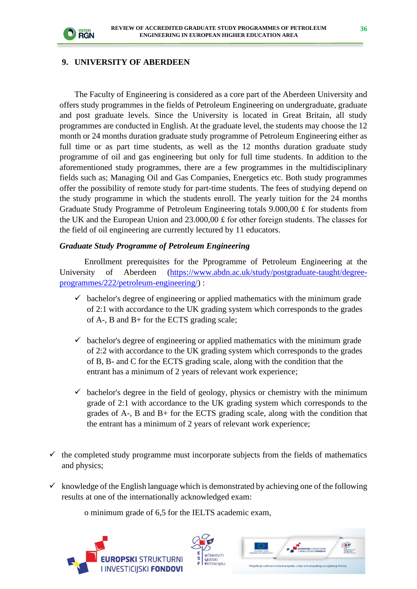

#### **9. UNIVERSITY OF ABERDEEN**

The Faculty of Engineering is considered as a core part of the Aberdeen University and offers study programmes in the fields of Petroleum Engineering on undergraduate, graduate and post graduate levels. Since the University is located in Great Britain, all study programmes are conducted in English. At the graduate level, the students may choose the 12 month or 24 months duration graduate study programme of Petroleum Engineering either as full time or as part time students, as well as the 12 months duration graduate study programme of oil and gas engineering but only for full time students. In addition to the aforementioned study programmes, there are a few programmes in the multidisciplinary fields such as; Managing Oil and Gas Companies, Energetics etc. Both study programmes offer the possibility of remote study for part-time students. The fees of studying depend on the study programme in which the students enroll. The yearly tuition for the 24 months Graduate Study Programme of Petroleum Engineering totals 9.000,00 £ for students from the UK and the European Union and  $23.000,00 \text{ f}$  for other foreign students. The classes for the field of oil engineering are currently lectured by 11 educators.

#### *Graduate Study Programme of Petroleum Engineering*

Enrollment prerequisites for the Pprogramme of Petroleum Engineering at the University of Aberdeen [\(https://www.abdn.ac.uk/study/postgraduate-taught/degree](https://www.abdn.ac.uk/study/postgraduate-taught/degree-programmes/222/petroleum-engineering/)[programmes/222/petroleum-engineering/\)](https://www.abdn.ac.uk/study/postgraduate-taught/degree-programmes/222/petroleum-engineering/) :

- $\checkmark$  bachelor's degree of engineering or applied mathematics with the minimum grade of 2:1 with accordance to the UK grading system which corresponds to the grades of A-, B and B+ for the ECTS grading scale;
- $\checkmark$  bachelor's degree of engineering or applied mathematics with the minimum grade of 2:2 with accordance to the UK grading system which corresponds to the grades of B, B- and C for the ECTS grading scale, along with the condition that the entrant has a minimum of 2 years of relevant work experience;
- $\checkmark$  bachelor's degree in the field of geology, physics or chemistry with the minimum grade of 2:1 with accordance to the UK grading system which corresponds to the grades of A-, B and B+ for the ECTS grading scale, along with the condition that the entrant has a minimum of 2 years of relevant work experience;
- $\checkmark$  the completed study programme must incorporate subjects from the fields of mathematics and physics;
- $\checkmark$  knowledge of the English language which is demonstrated by achieving one of the following results at one of the internationally acknowledged exam:

o minimum grade of 6,5 for the IELTS academic exam,





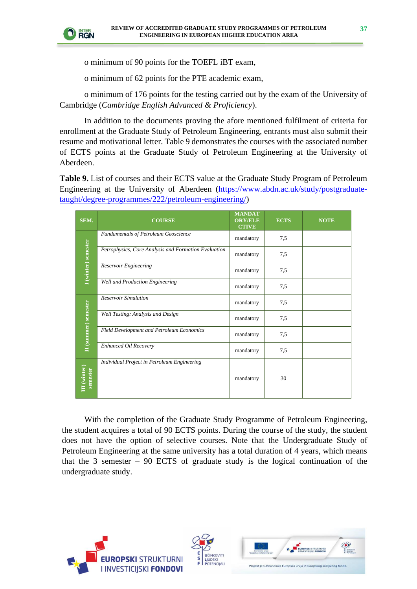

o minimum of 90 points for the TOEFL iBT exam,

o minimum of 62 points for the PTE academic exam,

o minimum of 176 points for the testing carried out by the exam of the University of Cambridge (*Cambridge English Advanced & Proficiency*).

In addition to the documents proving the afore mentioned fulfilment of criteria for enrollment at the Graduate Study of Petroleum Engineering, entrants must also submit their resume and motivational letter. Table 9 demonstrates the courses with the associated number of ECTS points at the Graduate Study of Petroleum Engineering at the University of Aberdeen.

**Table 9.** List of courses and their ECTS value at the Graduate Study Program of Petroleum Engineering at the University of Aberdeen [\(https://www.abdn.ac.uk/study/postgraduate](https://www.abdn.ac.uk/study/postgraduate-taught/degree-programmes/222/petroleum-engineering/)[taught/degree-programmes/222/petroleum-engineering/\)](https://www.abdn.ac.uk/study/postgraduate-taught/degree-programmes/222/petroleum-engineering/)

| SEM.                     | <b>COURSE</b>                                        | <b>MANDAT</b><br><b>ORY/ELE</b><br><b>CTIVE</b> | <b>ECTS</b> | <b>NOTE</b> |
|--------------------------|------------------------------------------------------|-------------------------------------------------|-------------|-------------|
| I (winter) semester      | <b>Fundamentals of Petroleum Geoscience</b>          | mandatory                                       | 7,5         |             |
|                          | Petrophysics, Core Analysis and Formation Evaluation | mandatory                                       | 7,5         |             |
|                          | Reservoir Engineering                                | mandatory                                       | 7,5         |             |
|                          | Well and Production Engineering                      | mandatory                                       | 7.5         |             |
| II (summer) semester     | <b>Reservoir Simulation</b>                          | mandatory                                       | 7,5         |             |
|                          | Well Testing: Analysis and Design                    | mandatory                                       | 7,5         |             |
|                          | Field Development and Petroleum Economics            | mandatory                                       | 7,5         |             |
|                          | Enhanced Oil Recovery                                | mandatory                                       | 7,5         |             |
| III (winter)<br>semester | Individual Project in Petroleum Engineering          | mandatory                                       | 30          |             |

With the completion of the Graduate Study Programme of Petroleum Engineering, the student acquires a total of 90 ECTS points. During the course of the study, the student does not have the option of selective courses. Note that the Undergraduate Study of Petroleum Engineering at the same university has a total duration of 4 years, which means that the 3 semester – 90 ECTS of graduate study is the logical continuation of the undergraduate study.





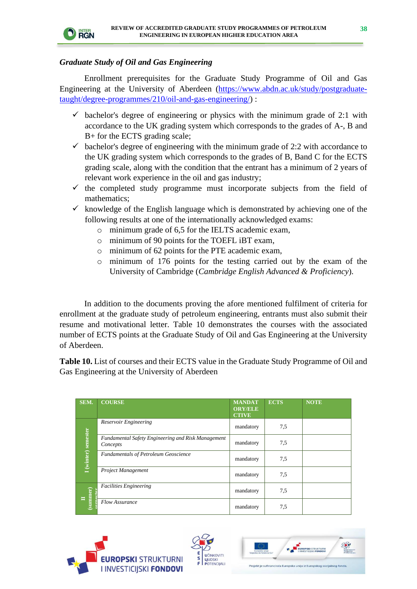

#### *Graduate Study of Oil and Gas Engineering*

Enrollment prerequisites for the Graduate Study Programme of Oil and Gas Engineering at the University of Aberdeen [\(https://www.abdn.ac.uk/study/postgraduate](https://www.abdn.ac.uk/study/postgraduate-taught/degree-programmes/210/oil-and-gas-engineering/)[taught/degree-programmes/210/oil-and-gas-engineering/\)](https://www.abdn.ac.uk/study/postgraduate-taught/degree-programmes/210/oil-and-gas-engineering/) :

- $\checkmark$  bachelor's degree of engineering or physics with the minimum grade of 2:1 with accordance to the UK grading system which corresponds to the grades of A-, B and B+ for the ECTS grading scale;
- $\checkmark$  bachelor's degree of engineering with the minimum grade of 2:2 with accordance to the UK grading system which corresponds to the grades of B, Band C for the ECTS grading scale, along with the condition that the entrant has a minimum of 2 years of relevant work experience in the oil and gas industry;
- $\checkmark$  the completed study programme must incorporate subjects from the field of mathematics;
- $\checkmark$  knowledge of the English language which is demonstrated by achieving one of the following results at one of the internationally acknowledged exams:
	- o minimum grade of 6,5 for the IELTS academic exam,
	- o minimum of 90 points for the TOEFL iBT exam,
	- o minimum of 62 points for the PTE academic exam,
	- o minimum of 176 points for the testing carried out by the exam of the University of Cambridge (*Cambridge English Advanced & Proficiency*).

In addition to the documents proving the afore mentioned fulfilment of criteria for enrollment at the graduate study of petroleum engineering, entrants must also submit their resume and motivational letter. Table 10 demonstrates the courses with the associated number of ECTS points at the Graduate Study of Oil and Gas Engineering at the University of Aberdeen.

**Table 10.** List of courses and their ECTS value in the Graduate Study Programme of Oil and Gas Engineering at the University of Aberdeen

| SEM.                                                            | <b>COURSE</b>                                                  | <b>MANDAT</b><br><b>ORY/ELE</b><br><b>CTIVE</b> | <b>ECTS</b> | <b>NOTE</b> |
|-----------------------------------------------------------------|----------------------------------------------------------------|-------------------------------------------------|-------------|-------------|
| I (winter) semester                                             | Reservoir Engineering                                          | mandatory                                       | 7.5         |             |
|                                                                 | Fundamental Safety Engineering and Risk Management<br>Concepts | mandatory                                       | 7.5         |             |
|                                                                 | <b>Fundamentals of Petroleum Geoscience</b>                    | mandatory                                       | 7.5         |             |
|                                                                 | Project Management                                             | mandatory                                       | 7.5         |             |
| $\begin{array}{c} \textbf{II} \\ \textbf{(summer)} \end{array}$ | <b>Facilities Engineering</b>                                  | mandatory                                       | 7.5         |             |
|                                                                 | Flow Assurance                                                 | mandatory                                       | 7.5         |             |





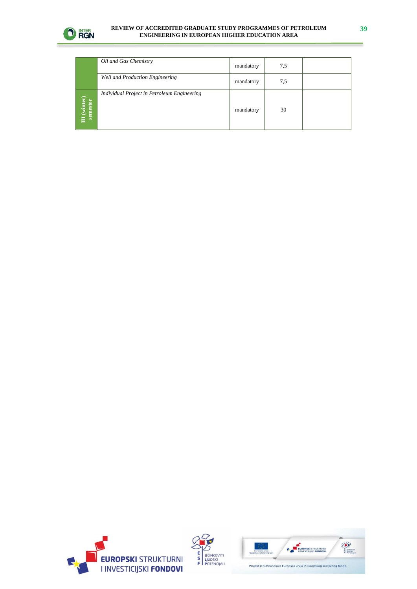

#### **REVIEW OF ACCREDITED GRADUATE STUDY PROGRAMMES OF PETROLEUM ENGINEERING IN EUROPEAN HIGHER EDUCATION AREA**

|                          | Oil and Gas Chemistry                       | mandatory | 7,5 |  |
|--------------------------|---------------------------------------------|-----------|-----|--|
|                          | Well and Production Engineering             | mandatory | 7,5 |  |
| III (winter)<br>semester | Individual Project in Petroleum Engineering | mandatory | 30  |  |





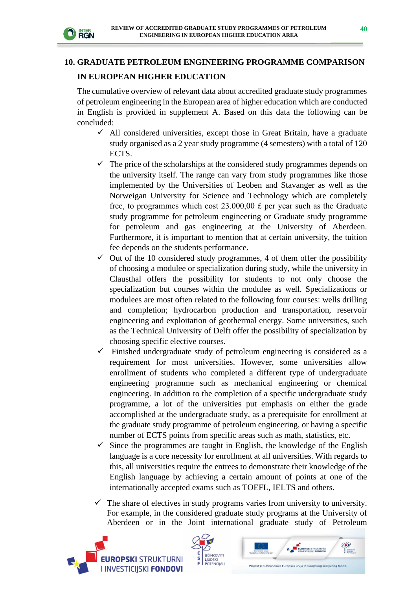

## **10. GRADUATE PETROLEUM ENGINEERING PROGRAMME COMPARISON IN EUROPEAN HIGHER EDUCATION**

The cumulative overview of relevant data about accredited graduate study programmes of petroleum engineering in the European area of higher education which are conducted in English is provided in supplement A. Based on this data the following can be concluded:

- $\checkmark$  All considered universities, except those in Great Britain, have a graduate study organised as a 2 year study programme (4 semesters) with a total of 120 ECTS.
- $\checkmark$  The price of the scholarships at the considered study programmes depends on the university itself. The range can vary from study programmes like those implemented by the Universities of Leoben and Stavanger as well as the Norweigan University for Science and Technology which are completely free, to programmes which cost  $23.000,00 \text{ f}$  per year such as the Graduate study programme for petroleum engineering or Graduate study programme for petroleum and gas engineering at the University of Aberdeen. Furthermore, it is important to mention that at certain university, the tuition fee depends on the students performance.
- $\checkmark$  Out of the 10 considered study programmes, 4 of them offer the possibility of choosing a modulee or specialization during study, while the university in Clausthal offers the possibility for students to not only choose the specialization but courses within the modulee as well. Specializations or modulees are most often related to the following four courses: wells drilling and completion; hydrocarbon production and transportation, reservoir engineering and exploitation of geothermal energy. Some universities, such as the Technical University of Delft offer the possibility of specialization by choosing specific elective courses.
- $\checkmark$  Finished undergraduate study of petroleum engineering is considered as a requirement for most universities. However, some universities allow enrollment of students who completed a different type of undergraduate engineering programme such as mechanical engineering or chemical engineering. In addition to the completion of a specific undergraduate study programme, a lot of the universities put emphasis on either the grade accomplished at the undergraduate study, as a prerequisite for enrollment at the graduate study programme of petroleum engineering, or having a specific number of ECTS points from specific areas such as math, statistics, etc.
- $\checkmark$  Since the programmes are taught in English, the knowledge of the English language is a core necessity for enrollment at all universities. With regards to this, all universities require the entrees to demonstrate their knowledge of the English language by achieving a certain amount of points at one of the internationally accepted exams such as TOEFL, IELTS and others.
- $\checkmark$  The share of electives in study programs varies from university to university. For example, in the considered graduate study programs at the University of Aberdeen or in the Joint international graduate study of Petroleum